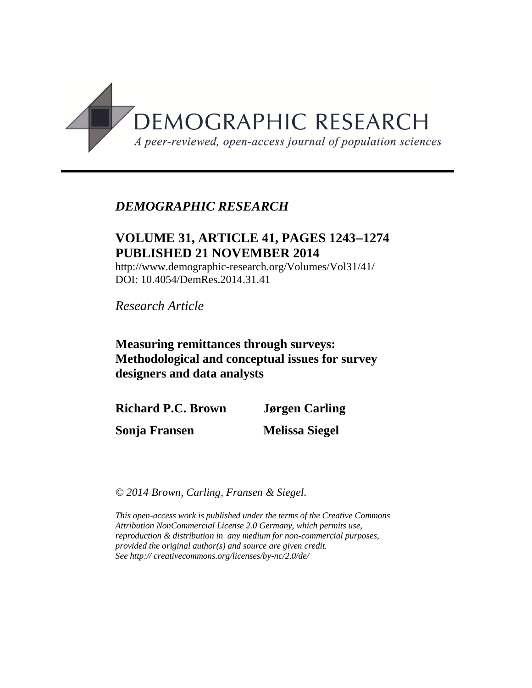

## *DEMOGRAPHIC RESEARCH*

## **VOLUME 31, ARTICLE 41, PAGES 12431274 PUBLISHED 21 NOVEMBER 2014**

http://www.demographic-research.org/Volumes/Vol31/41/ DOI: 10.4054/DemRes.2014.31.41

*Research Article*

**Measuring remittances through surveys: Methodological and conceptual issues for survey designers and data analysts**

**Richard P.C. Brown Sonja Fransen Jørgen Carling Melissa Siegel**

*© 2014 Brown, Carling, Fransen & Siegel.*

*This open-access work is published under the terms of the Creative Commons Attribution NonCommercial License 2.0 Germany, which permits use, reproduction & distribution in any medium for non-commercial purposes, provided the original author(s) and source are given credit. See http:// creativecommons.org/licenses/by-nc/2.0/de/*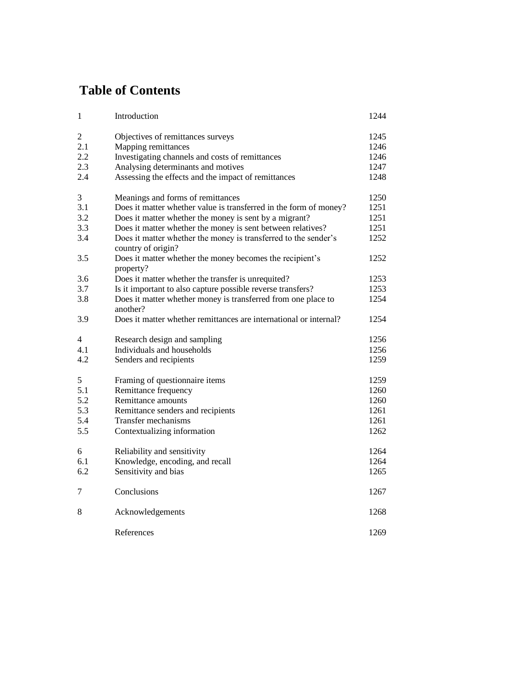# **Table of Contents**

| 1              | Introduction                                                                          | 1244 |
|----------------|---------------------------------------------------------------------------------------|------|
| $\mathfrak{2}$ | Objectives of remittances surveys                                                     | 1245 |
| 2.1            | Mapping remittances                                                                   | 1246 |
| 2.2            | Investigating channels and costs of remittances                                       | 1246 |
| 2.3            | Analysing determinants and motives                                                    | 1247 |
| 2.4            | Assessing the effects and the impact of remittances                                   | 1248 |
| 3              | Meanings and forms of remittances                                                     | 1250 |
| 3.1            | Does it matter whether value is transferred in the form of money?                     | 1251 |
| 3.2            | Does it matter whether the money is sent by a migrant?                                | 1251 |
| 3.3            | Does it matter whether the money is sent between relatives?                           | 1251 |
| 3.4            | Does it matter whether the money is transferred to the sender's<br>country of origin? | 1252 |
| 3.5            | Does it matter whether the money becomes the recipient's<br>property?                 | 1252 |
| 3.6            | Does it matter whether the transfer is unrequited?                                    | 1253 |
| 3.7            | Is it important to also capture possible reverse transfers?                           | 1253 |
| 3.8            | Does it matter whether money is transferred from one place to<br>another?             | 1254 |
| 3.9            | Does it matter whether remittances are international or internal?                     | 1254 |
| 4              | Research design and sampling                                                          | 1256 |
| 4.1            | Individuals and households                                                            | 1256 |
| 4.2            | Senders and recipients                                                                | 1259 |
| 5              | Framing of questionnaire items                                                        | 1259 |
| 5.1            | Remittance frequency                                                                  | 1260 |
| 5.2            | Remittance amounts                                                                    | 1260 |
| 5.3            | Remittance senders and recipients                                                     | 1261 |
| 5.4            | Transfer mechanisms                                                                   | 1261 |
| 5.5            | Contextualizing information                                                           | 1262 |
| 6              | Reliability and sensitivity                                                           | 1264 |
| 6.1            | Knowledge, encoding, and recall                                                       | 1264 |
| 6.2            | Sensitivity and bias                                                                  | 1265 |
| 7              | Conclusions                                                                           | 1267 |
| 8              | Acknowledgements                                                                      | 1268 |
|                | References                                                                            | 1269 |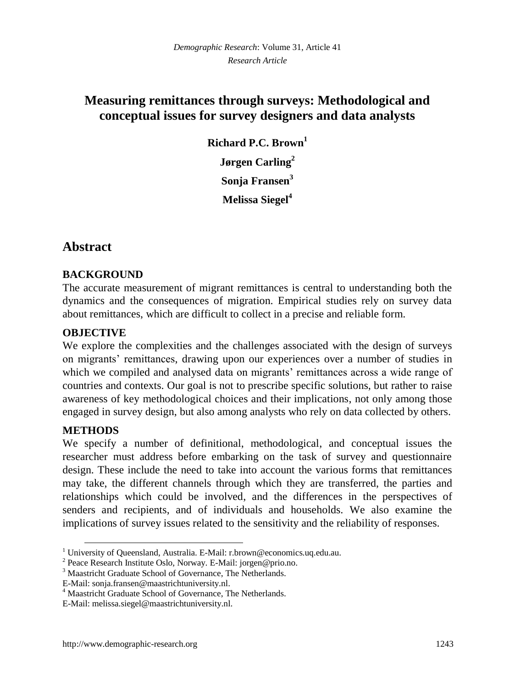## **Measuring remittances through surveys: Methodological and conceptual issues for survey designers and data analysts**

**Richard P.C. Brown<sup>1</sup> Jørgen Carling<sup>2</sup> Sonja Fransen<sup>3</sup> Melissa Siegel<sup>4</sup>**

## **Abstract**

### **BACKGROUND**

The accurate measurement of migrant remittances is central to understanding both the dynamics and the consequences of migration. Empirical studies rely on survey data about remittances, which are difficult to collect in a precise and reliable form.

### **OBJECTIVE**

We explore the complexities and the challenges associated with the design of surveys on migrants' remittances, drawing upon our experiences over a number of studies in which we compiled and analysed data on migrants' remittances across a wide range of countries and contexts. Our goal is not to prescribe specific solutions, but rather to raise awareness of key methodological choices and their implications, not only among those engaged in survey design, but also among analysts who rely on data collected by others.

## **METHODS**

 $\overline{a}$ 

We specify a number of definitional, methodological, and conceptual issues the researcher must address before embarking on the task of survey and questionnaire design. These include the need to take into account the various forms that remittances may take, the different channels through which they are transferred, the parties and relationships which could be involved, and the differences in the perspectives of senders and recipients, and of individuals and households. We also examine the implications of survey issues related to the sensitivity and the reliability of responses.

<sup>1</sup> University of Queensland, Australia. E-Mail: r.brown@economics.uq.edu.au.

<sup>&</sup>lt;sup>2</sup> Peace Research Institute Oslo, Norway. E-Mail: jorgen@prio.no.

<sup>3</sup> Maastricht Graduate School of Governance, The Netherlands.

E-Mail: sonja.fransen@maastrichtuniversity.nl.

<sup>4</sup> Maastricht Graduate School of Governance, The Netherlands.

E-Mail: melissa.siegel@maastrichtuniversity.nl.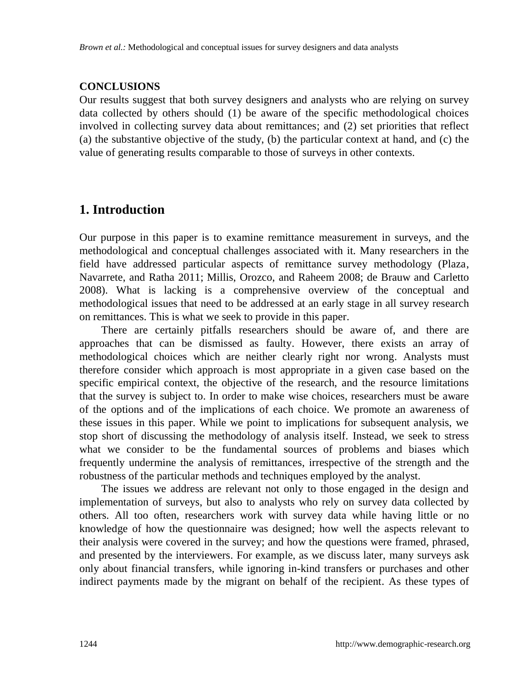#### **CONCLUSIONS**

Our results suggest that both survey designers and analysts who are relying on survey data collected by others should (1) be aware of the specific methodological choices involved in collecting survey data about remittances; and (2) set priorities that reflect (a) the substantive objective of the study, (b) the particular context at hand, and (c) the value of generating results comparable to those of surveys in other contexts.

## **1. Introduction**

Our purpose in this paper is to examine remittance measurement in surveys, and the methodological and conceptual challenges associated with it. Many researchers in the field have addressed particular aspects of remittance survey methodology (Plaza, Navarrete, and Ratha 2011; Millis, Orozco, and Raheem 2008; de Brauw and Carletto 2008). What is lacking is a comprehensive overview of the conceptual and methodological issues that need to be addressed at an early stage in all survey research on remittances. This is what we seek to provide in this paper.

There are certainly pitfalls researchers should be aware of, and there are approaches that can be dismissed as faulty. However, there exists an array of methodological choices which are neither clearly right nor wrong. Analysts must therefore consider which approach is most appropriate in a given case based on the specific empirical context, the objective of the research, and the resource limitations that the survey is subject to. In order to make wise choices, researchers must be aware of the options and of the implications of each choice. We promote an awareness of these issues in this paper. While we point to implications for subsequent analysis, we stop short of discussing the methodology of analysis itself. Instead, we seek to stress what we consider to be the fundamental sources of problems and biases which frequently undermine the analysis of remittances, irrespective of the strength and the robustness of the particular methods and techniques employed by the analyst.

The issues we address are relevant not only to those engaged in the design and implementation of surveys, but also to analysts who rely on survey data collected by others. All too often, researchers work with survey data while having little or no knowledge of how the questionnaire was designed; how well the aspects relevant to their analysis were covered in the survey; and how the questions were framed, phrased, and presented by the interviewers. For example, as we discuss later, many surveys ask only about financial transfers, while ignoring in-kind transfers or purchases and other indirect payments made by the migrant on behalf of the recipient. As these types of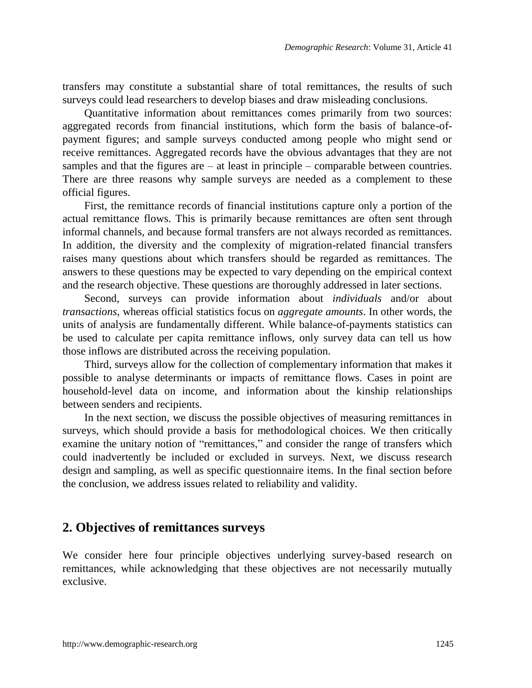transfers may constitute a substantial share of total remittances, the results of such surveys could lead researchers to develop biases and draw misleading conclusions.

Quantitative information about remittances comes primarily from two sources: aggregated records from financial institutions, which form the basis of balance-ofpayment figures; and sample surveys conducted among people who might send or receive remittances. Aggregated records have the obvious advantages that they are not samples and that the figures are  $-$  at least in principle  $-$  comparable between countries. There are three reasons why sample surveys are needed as a complement to these official figures.

First, the remittance records of financial institutions capture only a portion of the actual remittance flows. This is primarily because remittances are often sent through informal channels, and because formal transfers are not always recorded as remittances. In addition, the diversity and the complexity of migration-related financial transfers raises many questions about which transfers should be regarded as remittances. The answers to these questions may be expected to vary depending on the empirical context and the research objective. These questions are thoroughly addressed in later sections.

Second, surveys can provide information about *individuals* and/or about *transactions*, whereas official statistics focus on *aggregate amounts*. In other words, the units of analysis are fundamentally different. While balance-of-payments statistics can be used to calculate per capita remittance inflows, only survey data can tell us how those inflows are distributed across the receiving population.

Third, surveys allow for the collection of complementary information that makes it possible to analyse determinants or impacts of remittance flows. Cases in point are household-level data on income, and information about the kinship relationships between senders and recipients.

In the next section, we discuss the possible objectives of measuring remittances in surveys, which should provide a basis for methodological choices. We then critically examine the unitary notion of "remittances," and consider the range of transfers which could inadvertently be included or excluded in surveys. Next, we discuss research design and sampling, as well as specific questionnaire items. In the final section before the conclusion, we address issues related to reliability and validity.

## **2. Objectives of remittances surveys**

We consider here four principle objectives underlying survey-based research on remittances, while acknowledging that these objectives are not necessarily mutually exclusive.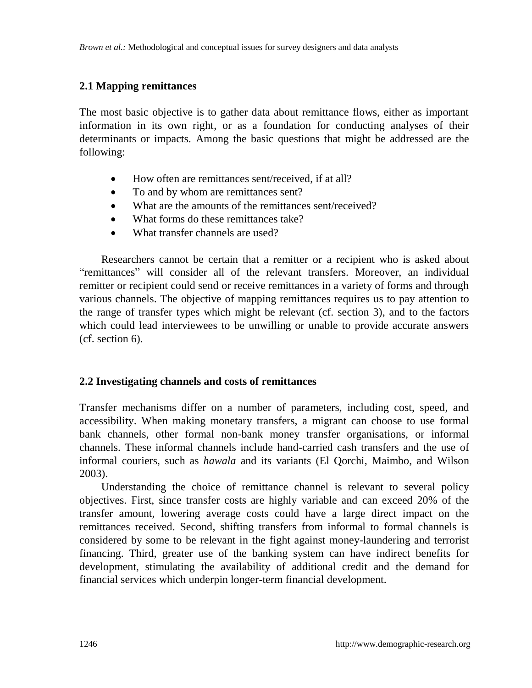### **2.1 Mapping remittances**

The most basic objective is to gather data about remittance flows, either as important information in its own right, or as a foundation for conducting analyses of their determinants or impacts. Among the basic questions that might be addressed are the following:

- How often are remittances sent/received, if at all?
- To and by whom are remittances sent?
- What are the amounts of the remittances sent/received?
- What forms do these remittances take?
- What transfer channels are used?

Researchers cannot be certain that a remitter or a recipient who is asked about ―remittances‖ will consider all of the relevant transfers. Moreover, an individual remitter or recipient could send or receive remittances in a variety of forms and through various channels. The objective of mapping remittances requires us to pay attention to the range of transfer types which might be relevant (cf. section 3), and to the factors which could lead interviewees to be unwilling or unable to provide accurate answers (cf. section 6).

### **2.2 Investigating channels and costs of remittances**

Transfer mechanisms differ on a number of parameters, including cost, speed, and accessibility. When making monetary transfers, a migrant can choose to use formal bank channels, other formal non-bank money transfer organisations, or informal channels. These informal channels include hand-carried cash transfers and the use of informal couriers, such as *hawala* and its variants (El Qorchi, Maimbo, and Wilson 2003).

Understanding the choice of remittance channel is relevant to several policy objectives. First, since transfer costs are highly variable and can exceed 20% of the transfer amount, lowering average costs could have a large direct impact on the remittances received. Second, shifting transfers from informal to formal channels is considered by some to be relevant in the fight against money-laundering and terrorist financing. Third, greater use of the banking system can have indirect benefits for development, stimulating the availability of additional credit and the demand for financial services which underpin longer-term financial development.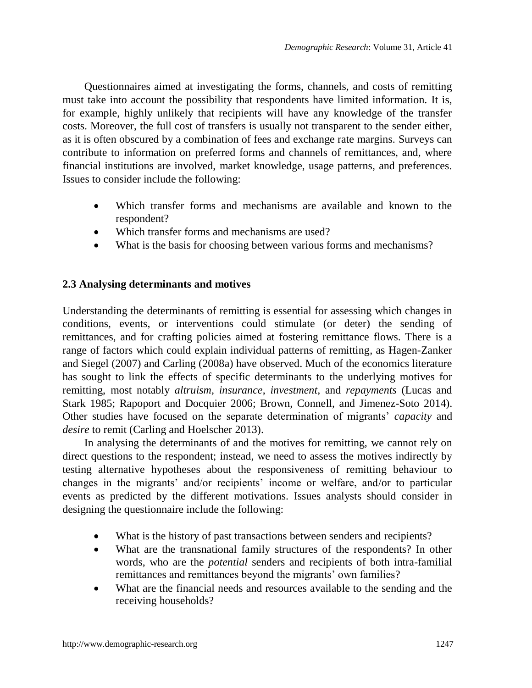Questionnaires aimed at investigating the forms, channels, and costs of remitting must take into account the possibility that respondents have limited information. It is, for example, highly unlikely that recipients will have any knowledge of the transfer costs. Moreover, the full cost of transfers is usually not transparent to the sender either, as it is often obscured by a combination of fees and exchange rate margins. Surveys can contribute to information on preferred forms and channels of remittances, and, where financial institutions are involved, market knowledge, usage patterns, and preferences. Issues to consider include the following:

- Which transfer forms and mechanisms are available and known to the respondent?
- Which transfer forms and mechanisms are used?
- What is the basis for choosing between various forms and mechanisms?

### **2.3 Analysing determinants and motives**

Understanding the determinants of remitting is essential for assessing which changes in conditions, events, or interventions could stimulate (or deter) the sending of remittances, and for crafting policies aimed at fostering remittance flows. There is a range of factors which could explain individual patterns of remitting, as Hagen-Zanker and Siegel (2007) and Carling (2008a) have observed. Much of the economics literature has sought to link the effects of specific determinants to the underlying motives for remitting, most notably *altruism, insurance*, *investment,* and *repayments* (Lucas and Stark 1985; Rapoport and Docquier 2006; Brown, Connell, and Jimenez-Soto 2014). Other studies have focused on the separate determination of migrants' *capacity* and *desire* to remit (Carling and Hoelscher 2013).

In analysing the determinants of and the motives for remitting, we cannot rely on direct questions to the respondent; instead, we need to assess the motives indirectly by testing alternative hypotheses about the responsiveness of remitting behaviour to changes in the migrants' and/or recipients' income or welfare, and/or to particular events as predicted by the different motivations. Issues analysts should consider in designing the questionnaire include the following:

- What is the history of past transactions between senders and recipients?
- What are the transnational family structures of the respondents? In other words, who are the *potential* senders and recipients of both intra-familial remittances and remittances beyond the migrants' own families?
- What are the financial needs and resources available to the sending and the receiving households?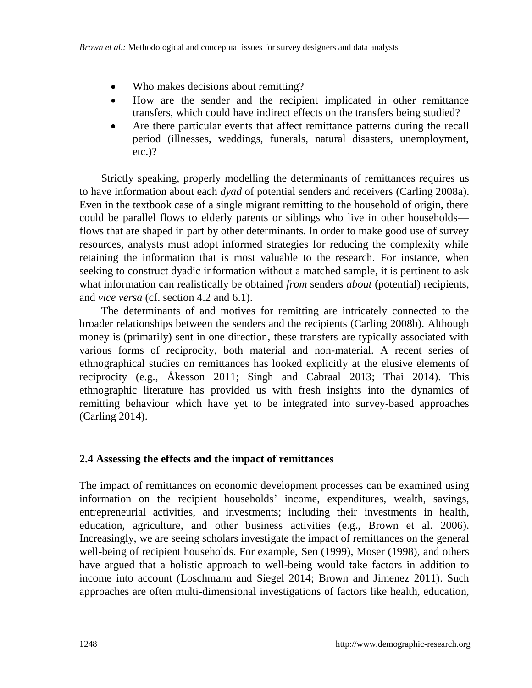- Who makes decisions about remitting?
- How are the sender and the recipient implicated in other remittance transfers, which could have indirect effects on the transfers being studied?
- Are there particular events that affect remittance patterns during the recall period (illnesses, weddings, funerals, natural disasters, unemployment, etc.)?

Strictly speaking, properly modelling the determinants of remittances requires us to have information about each *dyad* of potential senders and receivers (Carling 2008a). Even in the textbook case of a single migrant remitting to the household of origin, there could be parallel flows to elderly parents or siblings who live in other households flows that are shaped in part by other determinants. In order to make good use of survey resources, analysts must adopt informed strategies for reducing the complexity while retaining the information that is most valuable to the research. For instance, when seeking to construct dyadic information without a matched sample, it is pertinent to ask what information can realistically be obtained *from* senders *about* (potential) recipients, and *vice versa* (cf. section 4.2 and 6.1).

The determinants of and motives for remitting are intricately connected to the broader relationships between the senders and the recipients (Carling 2008b). Although money is (primarily) sent in one direction, these transfers are typically associated with various forms of reciprocity, both material and non-material. A recent series of ethnographical studies on remittances has looked explicitly at the elusive elements of reciprocity (e.g., Åkesson 2011; Singh and Cabraal 2013; Thai 2014). This ethnographic literature has provided us with fresh insights into the dynamics of remitting behaviour which have yet to be integrated into survey-based approaches (Carling 2014).

### **2.4 Assessing the effects and the impact of remittances**

The impact of remittances on economic development processes can be examined using information on the recipient households' income, expenditures, wealth, savings, entrepreneurial activities, and investments; including their investments in health, education, agriculture, and other business activities (e.g., Brown et al. 2006). Increasingly, we are seeing scholars investigate the impact of remittances on the general well-being of recipient households. For example, Sen (1999), Moser (1998), and others have argued that a holistic approach to well-being would take factors in addition to income into account (Loschmann and Siegel 2014; Brown and Jimenez 2011). Such approaches are often multi-dimensional investigations of factors like health, education,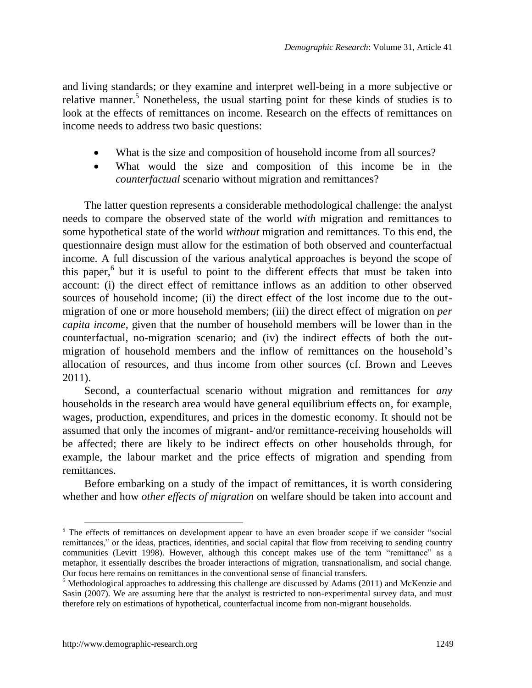and living standards; or they examine and interpret well-being in a more subjective or relative manner.<sup>5</sup> Nonetheless, the usual starting point for these kinds of studies is to look at the effects of remittances on income. Research on the effects of remittances on income needs to address two basic questions:

- What is the size and composition of household income from all sources?
- What would the size and composition of this income be in the *counterfactual* scenario without migration and remittances?

The latter question represents a considerable methodological challenge: the analyst needs to compare the observed state of the world *with* migration and remittances to some hypothetical state of the world *without* migration and remittances. To this end, the questionnaire design must allow for the estimation of both observed and counterfactual income. A full discussion of the various analytical approaches is beyond the scope of this paper, $6$  but it is useful to point to the different effects that must be taken into account: (i) the direct effect of remittance inflows as an addition to other observed sources of household income; (ii) the direct effect of the lost income due to the outmigration of one or more household members; (iii) the direct effect of migration on *per capita income*, given that the number of household members will be lower than in the counterfactual, no-migration scenario; and (iv) the indirect effects of both the outmigration of household members and the inflow of remittances on the household's allocation of resources, and thus income from other sources (cf. Brown and Leeves 2011).

Second, a counterfactual scenario without migration and remittances for *any* households in the research area would have general equilibrium effects on, for example, wages, production, expenditures, and prices in the domestic economy. It should not be assumed that only the incomes of migrant- and/or remittance-receiving households will be affected; there are likely to be indirect effects on other households through, for example, the labour market and the price effects of migration and spending from remittances.

Before embarking on a study of the impact of remittances, it is worth considering whether and how *other effects of migration* on welfare should be taken into account and

 $\overline{a}$ 

 $<sup>5</sup>$  The effects of remittances on development appear to have an even broader scope if we consider "social"</sup> remittances," or the ideas, practices, identities, and social capital that flow from receiving to sending country communities (Levitt 1998). However, although this concept makes use of the term "remittance" as a metaphor, it essentially describes the broader interactions of migration, transnationalism, and social change. Our focus here remains on remittances in the conventional sense of financial transfers.

 $6$  Methodological approaches to addressing this challenge are discussed by Adams (2011) and McKenzie and Sasin (2007). We are assuming here that the analyst is restricted to non-experimental survey data, and must therefore rely on estimations of hypothetical, counterfactual income from non-migrant households.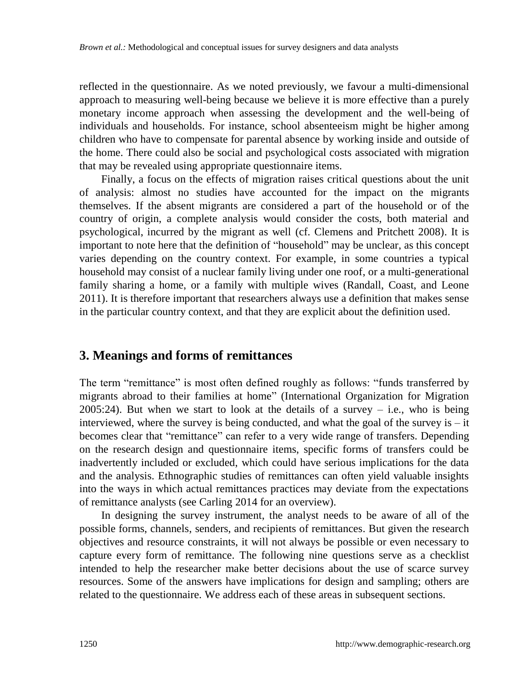reflected in the questionnaire. As we noted previously, we favour a multi-dimensional approach to measuring well-being because we believe it is more effective than a purely monetary income approach when assessing the development and the well-being of individuals and households. For instance, school absenteeism might be higher among children who have to compensate for parental absence by working inside and outside of the home. There could also be social and psychological costs associated with migration that may be revealed using appropriate questionnaire items.

Finally, a focus on the effects of migration raises critical questions about the unit of analysis: almost no studies have accounted for the impact on the migrants themselves. If the absent migrants are considered a part of the household or of the country of origin, a complete analysis would consider the costs, both material and psychological, incurred by the migrant as well (cf. Clemens and Pritchett 2008). It is important to note here that the definition of "household" may be unclear, as this concept varies depending on the country context. For example, in some countries a typical household may consist of a nuclear family living under one roof, or a multi-generational family sharing a home, or a family with multiple wives (Randall, Coast, and Leone 2011). It is therefore important that researchers always use a definition that makes sense in the particular country context, and that they are explicit about the definition used.

## **3. Meanings and forms of remittances**

The term "remittance" is most often defined roughly as follows: "funds transferred by migrants abroad to their families at home" (International Organization for Migration  $2005:24$ ). But when we start to look at the details of a survey  $-$  i.e., who is being interviewed, where the survey is being conducted, and what the goal of the survey is  $-$  it becomes clear that "remittance" can refer to a very wide range of transfers. Depending on the research design and questionnaire items, specific forms of transfers could be inadvertently included or excluded, which could have serious implications for the data and the analysis. Ethnographic studies of remittances can often yield valuable insights into the ways in which actual remittances practices may deviate from the expectations of remittance analysts (see Carling 2014 for an overview).

In designing the survey instrument, the analyst needs to be aware of all of the possible forms, channels, senders, and recipients of remittances. But given the research objectives and resource constraints, it will not always be possible or even necessary to capture every form of remittance. The following nine questions serve as a checklist intended to help the researcher make better decisions about the use of scarce survey resources. Some of the answers have implications for design and sampling; others are related to the questionnaire. We address each of these areas in subsequent sections.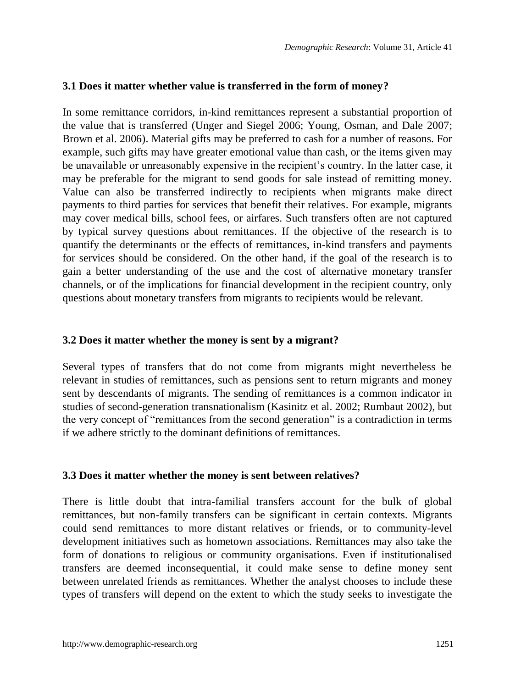#### **3.1 Does it matter whether value is transferred in the form of money?**

In some remittance corridors, in-kind remittances represent a substantial proportion of the value that is transferred (Unger and Siegel 2006; Young, Osman, and Dale 2007; Brown et al. 2006). Material gifts may be preferred to cash for a number of reasons. For example, such gifts may have greater emotional value than cash, or the items given may be unavailable or unreasonably expensive in the recipient's country. In the latter case, it may be preferable for the migrant to send goods for sale instead of remitting money. Value can also be transferred indirectly to recipients when migrants make direct payments to third parties for services that benefit their relatives. For example, migrants may cover medical bills, school fees, or airfares. Such transfers often are not captured by typical survey questions about remittances. If the objective of the research is to quantify the determinants or the effects of remittances, in-kind transfers and payments for services should be considered. On the other hand, if the goal of the research is to gain a better understanding of the use and the cost of alternative monetary transfer channels, or of the implications for financial development in the recipient country, only questions about monetary transfers from migrants to recipients would be relevant.

#### **3.2 Does it ma**t**ter whether the money is sent by a migrant?**

Several types of transfers that do not come from migrants might nevertheless be relevant in studies of remittances, such as pensions sent to return migrants and money sent by descendants of migrants. The sending of remittances is a common indicator in studies of second-generation transnationalism (Kasinitz et al. 2002; Rumbaut 2002), but the very concept of "remittances from the second generation" is a contradiction in terms if we adhere strictly to the dominant definitions of remittances.

#### **3.3 Does it matter whether the money is sent between relatives?**

There is little doubt that intra-familial transfers account for the bulk of global remittances, but non-family transfers can be significant in certain contexts. Migrants could send remittances to more distant relatives or friends, or to community-level development initiatives such as hometown associations. Remittances may also take the form of donations to religious or community organisations. Even if institutionalised transfers are deemed inconsequential, it could make sense to define money sent between unrelated friends as remittances. Whether the analyst chooses to include these types of transfers will depend on the extent to which the study seeks to investigate the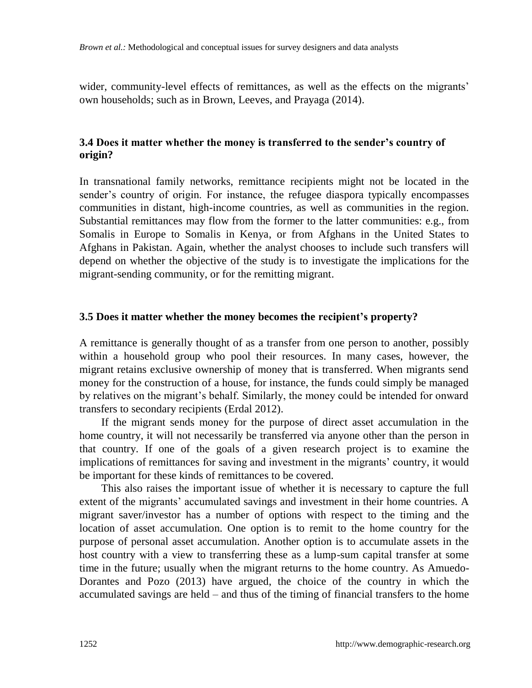wider, community-level effects of remittances, as well as the effects on the migrants' own households; such as in Brown, Leeves, and Prayaga (2014).

### **3.4 Does it matter whether the money is transferred to the sender's country of origin?**

In transnational family networks, remittance recipients might not be located in the sender's country of origin. For instance, the refugee diaspora typically encompasses communities in distant, high-income countries, as well as communities in the region. Substantial remittances may flow from the former to the latter communities: e.g., from Somalis in Europe to Somalis in Kenya, or from Afghans in the United States to Afghans in Pakistan. Again, whether the analyst chooses to include such transfers will depend on whether the objective of the study is to investigate the implications for the migrant-sending community, or for the remitting migrant.

### **3.5 Does it matter whether the money becomes the recipient's property?**

A remittance is generally thought of as a transfer from one person to another, possibly within a household group who pool their resources. In many cases, however, the migrant retains exclusive ownership of money that is transferred. When migrants send money for the construction of a house, for instance, the funds could simply be managed by relatives on the migrant's behalf. Similarly, the money could be intended for onward transfers to secondary recipients (Erdal 2012).

If the migrant sends money for the purpose of direct asset accumulation in the home country, it will not necessarily be transferred via anyone other than the person in that country. If one of the goals of a given research project is to examine the implications of remittances for saving and investment in the migrants' country, it would be important for these kinds of remittances to be covered.

This also raises the important issue of whether it is necessary to capture the full extent of the migrants' accumulated savings and investment in their home countries. A migrant saver/investor has a number of options with respect to the timing and the location of asset accumulation. One option is to remit to the home country for the purpose of personal asset accumulation. Another option is to accumulate assets in the host country with a view to transferring these as a lump-sum capital transfer at some time in the future; usually when the migrant returns to the home country. As Amuedo-Dorantes and Pozo (2013) have argued, the choice of the country in which the accumulated savings are held – and thus of the timing of financial transfers to the home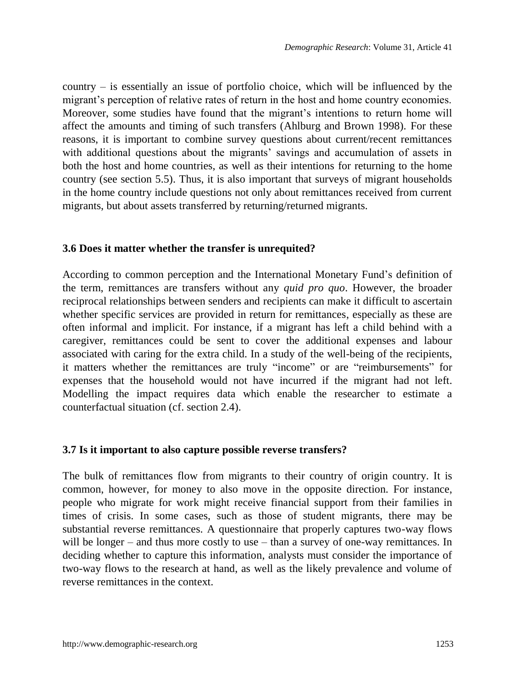country  $-$  is essentially an issue of portfolio choice, which will be influenced by the migrant's perception of relative rates of return in the host and home country economies. Moreover, some studies have found that the migrant's intentions to return home will affect the amounts and timing of such transfers (Ahlburg and Brown 1998). For these reasons, it is important to combine survey questions about current/recent remittances with additional questions about the migrants' savings and accumulation of assets in both the host and home countries, as well as their intentions for returning to the home country (see section 5.5). Thus, it is also important that surveys of migrant households in the home country include questions not only about remittances received from current migrants, but about assets transferred by returning/returned migrants.

#### **3.6 Does it matter whether the transfer is unrequited?**

According to common perception and the International Monetary Fund's definition of the term, remittances are transfers without any *quid pro quo*. However, the broader reciprocal relationships between senders and recipients can make it difficult to ascertain whether specific services are provided in return for remittances, especially as these are often informal and implicit. For instance, if a migrant has left a child behind with a caregiver, remittances could be sent to cover the additional expenses and labour associated with caring for the extra child. In a study of the well-being of the recipients, it matters whether the remittances are truly "income" or are "reimbursements" for expenses that the household would not have incurred if the migrant had not left. Modelling the impact requires data which enable the researcher to estimate a counterfactual situation (cf. section 2.4).

### **3.7 Is it important to also capture possible reverse transfers?**

The bulk of remittances flow from migrants to their country of origin country. It is common, however, for money to also move in the opposite direction. For instance, people who migrate for work might receive financial support from their families in times of crisis. In some cases, such as those of student migrants, there may be substantial reverse remittances. A questionnaire that properly captures two-way flows will be longer  $-$  and thus more costly to use  $-$  than a survey of one-way remittances. In deciding whether to capture this information, analysts must consider the importance of two-way flows to the research at hand, as well as the likely prevalence and volume of reverse remittances in the context.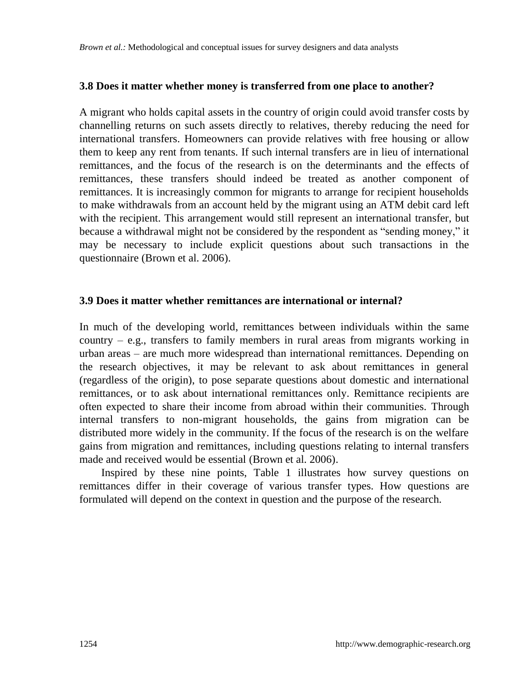#### **3.8 Does it matter whether money is transferred from one place to another?**

A migrant who holds capital assets in the country of origin could avoid transfer costs by channelling returns on such assets directly to relatives, thereby reducing the need for international transfers. Homeowners can provide relatives with free housing or allow them to keep any rent from tenants. If such internal transfers are in lieu of international remittances, and the focus of the research is on the determinants and the effects of remittances, these transfers should indeed be treated as another component of remittances. It is increasingly common for migrants to arrange for recipient households to make withdrawals from an account held by the migrant using an ATM debit card left with the recipient. This arrangement would still represent an international transfer, but because a withdrawal might not be considered by the respondent as "sending money," it may be necessary to include explicit questions about such transactions in the questionnaire (Brown et al. 2006).

#### **3.9 Does it matter whether remittances are international or internal?**

In much of the developing world, remittances between individuals within the same country  $-$  e.g., transfers to family members in rural areas from migrants working in urban areas ‒ are much more widespread than international remittances. Depending on the research objectives, it may be relevant to ask about remittances in general (regardless of the origin), to pose separate questions about domestic and international remittances, or to ask about international remittances only. Remittance recipients are often expected to share their income from abroad within their communities. Through internal transfers to non-migrant households, the gains from migration can be distributed more widely in the community. If the focus of the research is on the welfare gains from migration and remittances, including questions relating to internal transfers made and received would be essential (Brown et al. 2006).

Inspired by these nine points, Table 1 illustrates how survey questions on remittances differ in their coverage of various transfer types. How questions are formulated will depend on the context in question and the purpose of the research.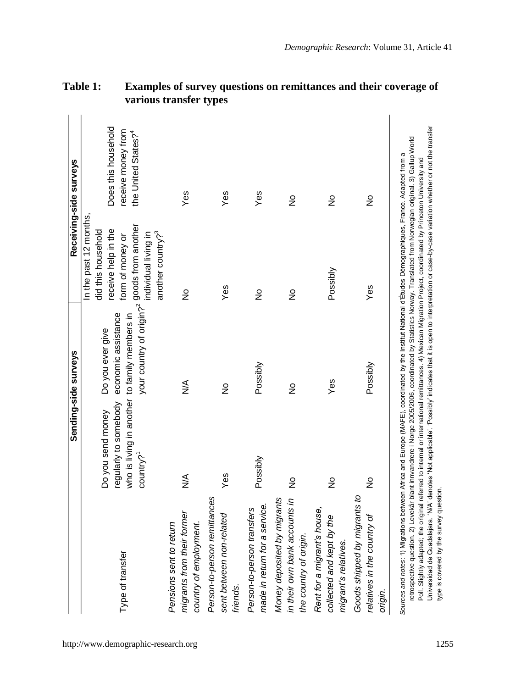|                                                                                                                                                                                                                                                                                                                                                                                                                                                                                                                                                                                                                                                                                                                  |                                                                                                                      | Sending-side surveys                                                                               |                                                                                                                                                  | Receiving-side surveys                                                       |
|------------------------------------------------------------------------------------------------------------------------------------------------------------------------------------------------------------------------------------------------------------------------------------------------------------------------------------------------------------------------------------------------------------------------------------------------------------------------------------------------------------------------------------------------------------------------------------------------------------------------------------------------------------------------------------------------------------------|----------------------------------------------------------------------------------------------------------------------|----------------------------------------------------------------------------------------------------|--------------------------------------------------------------------------------------------------------------------------------------------------|------------------------------------------------------------------------------|
| Type of transfer                                                                                                                                                                                                                                                                                                                                                                                                                                                                                                                                                                                                                                                                                                 | who is living in another to family members in<br>regularly to somebody<br>Do you send money<br>country? <sup>1</sup> | your country of origin? <sup>2</sup> goods from another<br>economic assistance<br>Do you ever give | In the past 12 months,<br>receive help in the<br>did this household<br>another country? <sup>3</sup><br>individual living in<br>form of money or | Does this household<br>receive money from<br>the United States? <sup>4</sup> |
| migrants from their former<br>country of employment.<br>Pensions sent to return                                                                                                                                                                                                                                                                                                                                                                                                                                                                                                                                                                                                                                  | $\frac{1}{2}$                                                                                                        | $\frac{1}{2}$                                                                                      | $\frac{1}{2}$                                                                                                                                    | Yes                                                                          |
| Person-to-person remittances<br>sent between non-related<br>friends.                                                                                                                                                                                                                                                                                                                                                                                                                                                                                                                                                                                                                                             | Yes                                                                                                                  | ş                                                                                                  | Yes                                                                                                                                              | Yes                                                                          |
| made in return for a service.<br>Person-to-person transfers                                                                                                                                                                                                                                                                                                                                                                                                                                                                                                                                                                                                                                                      | Possibly                                                                                                             | Possibly                                                                                           | $\frac{9}{2}$                                                                                                                                    | Yes                                                                          |
| in their own bank accounts in<br>Money deposited by migrants<br>the country of origin.                                                                                                                                                                                                                                                                                                                                                                                                                                                                                                                                                                                                                           | $\frac{1}{2}$                                                                                                        | ž                                                                                                  | $\frac{9}{2}$                                                                                                                                    | ş                                                                            |
| Rent for a migrant's house,<br>collected and kept by the<br>migrant's relatives.                                                                                                                                                                                                                                                                                                                                                                                                                                                                                                                                                                                                                                 | $\frac{1}{2}$                                                                                                        | Yes                                                                                                | Possibly                                                                                                                                         | $\frac{9}{2}$                                                                |
| Goods shipped by migrants to<br>relatives in the country of<br>origin.                                                                                                                                                                                                                                                                                                                                                                                                                                                                                                                                                                                                                                           | $\frac{1}{2}$                                                                                                        | Possibly                                                                                           | Yes                                                                                                                                              | ş                                                                            |
| Universidad de Guadalajara. 'N/A' denotes 'Not applicable'. 'Possibly' indicates that it is open to interpretation or case-by-case variation whether or not the transfer<br>retrospective question. 2) Levekár blant innvandrere i Norge 2005/2006, coordinated by Statistics Norway. Translated from Norwegian original. 3) Gallup World<br>Sources and notes: 1) Migrations between Africa and Europe (MAFE), coordinated by the Institut National d'Études Démographiques, France. Adapted from a<br>Poll. Slightly adapted; the original referred to internal or international remittances. 4) Mexican Migration Project, coordinated by Princeton University and<br>type is covered by the survey question. |                                                                                                                      |                                                                                                    |                                                                                                                                                  |                                                                              |

## **Table 1: Examples of survey questions on remittances and their coverage of various transfer types**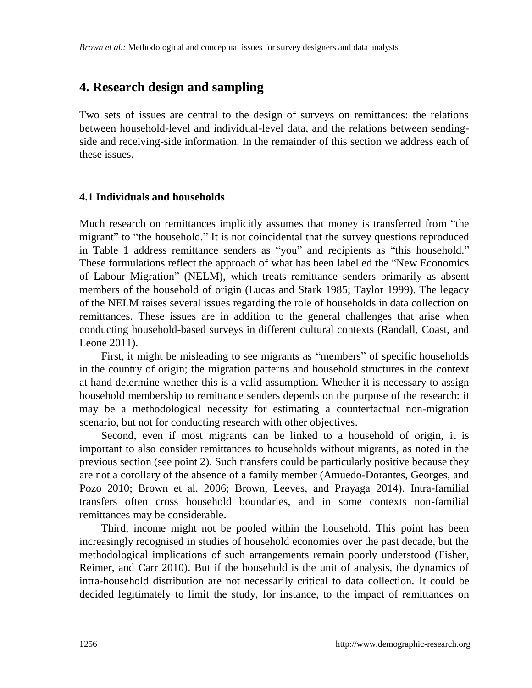## **4. Research design and sampling**

Two sets of issues are central to the design of surveys on remittances: the relations between household-level and individual-level data, and the relations between sendingside and receiving-side information. In the remainder of this section we address each of these issues.

#### **4.1 Individuals and households**

Much research on remittances implicitly assumes that money is transferred from "the migrant" to "the household." It is not coincidental that the survey questions reproduced in Table 1 address remittance senders as "you" and recipients as "this household." These formulations reflect the approach of what has been labelled the "New Economics" of Labour Migration" (NELM), which treats remittance senders primarily as absent members of the household of origin (Lucas and Stark 1985; Taylor 1999). The legacy of the NELM raises several issues regarding the role of households in data collection on remittances. These issues are in addition to the general challenges that arise when conducting household-based surveys in different cultural contexts (Randall, Coast, and Leone 2011).

First, it might be misleading to see migrants as "members" of specific households in the country of origin; the migration patterns and household structures in the context at hand determine whether this is a valid assumption. Whether it is necessary to assign household membership to remittance senders depends on the purpose of the research: it may be a methodological necessity for estimating a counterfactual non-migration scenario, but not for conducting research with other objectives.

Second, even if most migrants can be linked to a household of origin, it is important to also consider remittances to households without migrants, as noted in the previous section (see point 2). Such transfers could be particularly positive because they are not a corollary of the absence of a family member (Amuedo-Dorantes, Georges, and Pozo 2010; Brown et al. 2006; Brown, Leeves, and Prayaga 2014). Intra-familial transfers often cross household boundaries, and in some contexts non-familial remittances may be considerable.

Third, income might not be pooled within the household. This point has been increasingly recognised in studies of household economies over the past decade, but the methodological implications of such arrangements remain poorly understood (Fisher, Reimer, and Carr 2010). But if the household is the unit of analysis, the dynamics of intra-household distribution are not necessarily critical to data collection. It could be decided legitimately to limit the study, for instance, to the impact of remittances on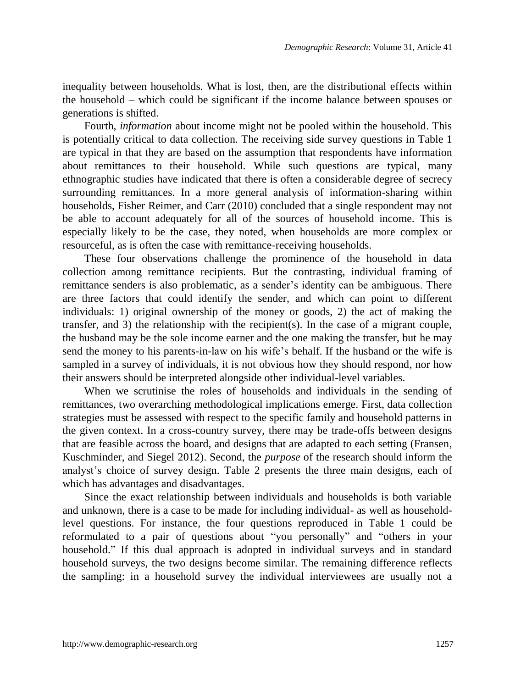inequality between households. What is lost, then, are the distributional effects within the household ‒ which could be significant if the income balance between spouses or generations is shifted.

Fourth, *information* about income might not be pooled within the household. This is potentially critical to data collection. The receiving side survey questions in Table 1 are typical in that they are based on the assumption that respondents have information about remittances to their household. While such questions are typical, many ethnographic studies have indicated that there is often a considerable degree of secrecy surrounding remittances. In a more general analysis of information-sharing within households, Fisher Reimer, and Carr (2010) concluded that a single respondent may not be able to account adequately for all of the sources of household income. This is especially likely to be the case, they noted, when households are more complex or resourceful, as is often the case with remittance-receiving households.

These four observations challenge the prominence of the household in data collection among remittance recipients. But the contrasting, individual framing of remittance senders is also problematic, as a sender's identity can be ambiguous. There are three factors that could identify the sender, and which can point to different individuals: 1) original ownership of the money or goods, 2) the act of making the transfer, and 3) the relationship with the recipient(s). In the case of a migrant couple, the husband may be the sole income earner and the one making the transfer, but he may send the money to his parents-in-law on his wife's behalf. If the husband or the wife is sampled in a survey of individuals, it is not obvious how they should respond, nor how their answers should be interpreted alongside other individual-level variables.

When we scrutinise the roles of households and individuals in the sending of remittances, two overarching methodological implications emerge. First, data collection strategies must be assessed with respect to the specific family and household patterns in the given context. In a cross-country survey, there may be trade-offs between designs that are feasible across the board, and designs that are adapted to each setting (Fransen, Kuschminder, and Siegel 2012). Second, the *purpose* of the research should inform the analyst's choice of survey design. Table 2 presents the three main designs, each of which has advantages and disadvantages.

Since the exact relationship between individuals and households is both variable and unknown, there is a case to be made for including individual- as well as householdlevel questions. For instance, the four questions reproduced in Table 1 could be reformulated to a pair of questions about "you personally" and "others in your household." If this dual approach is adopted in individual surveys and in standard household surveys, the two designs become similar. The remaining difference reflects the sampling: in a household survey the individual interviewees are usually not a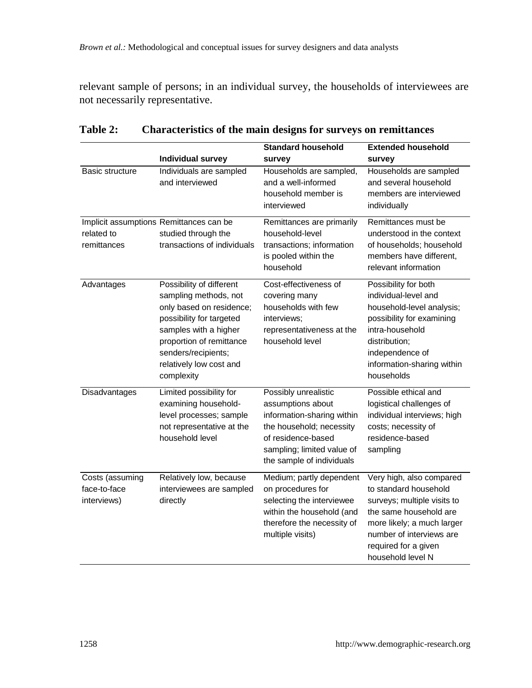relevant sample of persons; in an individual survey, the households of interviewees are not necessarily representative.

|                                                |                                                                                                                                                                                                                                | <b>Standard household</b>                                                                                                                                                            | <b>Extended household</b>                                                                                                                                                                                         |
|------------------------------------------------|--------------------------------------------------------------------------------------------------------------------------------------------------------------------------------------------------------------------------------|--------------------------------------------------------------------------------------------------------------------------------------------------------------------------------------|-------------------------------------------------------------------------------------------------------------------------------------------------------------------------------------------------------------------|
|                                                | Individual survey                                                                                                                                                                                                              | survey                                                                                                                                                                               | survey                                                                                                                                                                                                            |
| <b>Basic structure</b>                         | Individuals are sampled<br>and interviewed                                                                                                                                                                                     | Households are sampled,<br>and a well-informed<br>household member is<br>interviewed                                                                                                 | Households are sampled<br>and several household<br>members are interviewed<br>individually                                                                                                                        |
| related to<br>remittances                      | Implicit assumptions Remittances can be<br>studied through the<br>transactions of individuals                                                                                                                                  | Remittances are primarily<br>household-level<br>transactions; information<br>is pooled within the<br>household                                                                       | Remittances must be<br>understood in the context<br>of households; household<br>members have different.<br>relevant information                                                                                   |
| Advantages                                     | Possibility of different<br>sampling methods, not<br>only based on residence;<br>possibility for targeted<br>samples with a higher<br>proportion of remittance<br>senders/recipients;<br>relatively low cost and<br>complexity | Cost-effectiveness of<br>covering many<br>households with few<br>interviews:<br>representativeness at the<br>household level                                                         | Possibility for both<br>individual-level and<br>household-level analysis;<br>possibility for examining<br>intra-household<br>distribution;<br>independence of<br>information-sharing within<br>households         |
| Disadvantages                                  | Limited possibility for<br>examining household-<br>level processes; sample<br>not representative at the<br>household level                                                                                                     | Possibly unrealistic<br>assumptions about<br>information-sharing within<br>the household; necessity<br>of residence-based<br>sampling; limited value of<br>the sample of individuals | Possible ethical and<br>logistical challenges of<br>individual interviews; high<br>costs; necessity of<br>residence-based<br>sampling                                                                             |
| Costs (assuming<br>face-to-face<br>interviews) | Relatively low, because<br>interviewees are sampled<br>directly                                                                                                                                                                | Medium; partly dependent<br>on procedures for<br>selecting the interviewee<br>within the household (and<br>therefore the necessity of<br>multiple visits)                            | Very high, also compared<br>to standard household<br>surveys; multiple visits to<br>the same household are<br>more likely; a much larger<br>number of interviews are<br>required for a given<br>household level N |

## **Table 2: Characteristics of the main designs for surveys on remittances**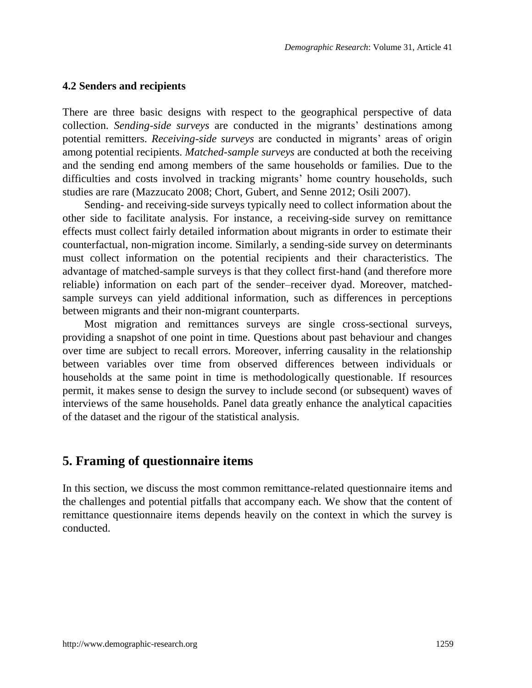#### **4.2 Senders and recipients**

There are three basic designs with respect to the geographical perspective of data collection. *Sending-side surveys* are conducted in the migrants' destinations among potential remitters. *Receiving-side surveys* are conducted in migrants' areas of origin among potential recipients. *Matched-sample surveys* are conducted at both the receiving and the sending end among members of the same households or families. Due to the difficulties and costs involved in tracking migrants' home country households, such studies are rare (Mazzucato 2008; Chort, Gubert, and Senne 2012; Osili 2007).

Sending- and receiving-side surveys typically need to collect information about the other side to facilitate analysis. For instance, a receiving-side survey on remittance effects must collect fairly detailed information about migrants in order to estimate their counterfactual, non-migration income. Similarly, a sending-side survey on determinants must collect information on the potential recipients and their characteristics. The advantage of matched-sample surveys is that they collect first-hand (and therefore more reliable) information on each part of the sender–receiver dyad. Moreover, matchedsample surveys can yield additional information, such as differences in perceptions between migrants and their non-migrant counterparts.

Most migration and remittances surveys are single cross-sectional surveys, providing a snapshot of one point in time. Questions about past behaviour and changes over time are subject to recall errors. Moreover, inferring causality in the relationship between variables over time from observed differences between individuals or households at the same point in time is methodologically questionable. If resources permit, it makes sense to design the survey to include second (or subsequent) waves of interviews of the same households. Panel data greatly enhance the analytical capacities of the dataset and the rigour of the statistical analysis.

## **5. Framing of questionnaire items**

In this section, we discuss the most common remittance-related questionnaire items and the challenges and potential pitfalls that accompany each. We show that the content of remittance questionnaire items depends heavily on the context in which the survey is conducted.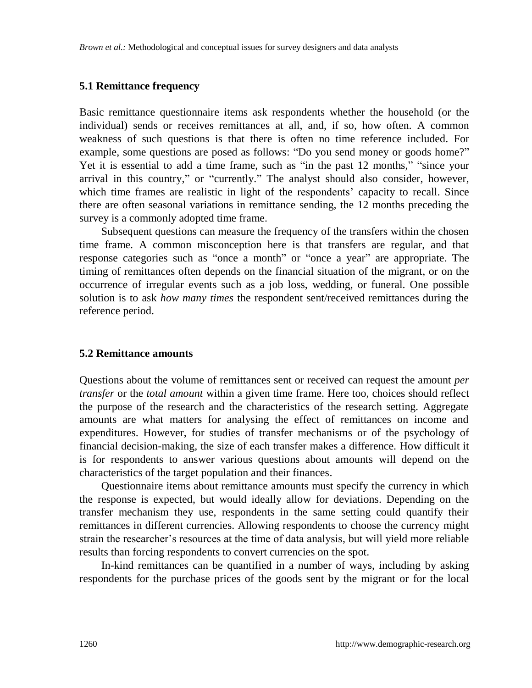#### **5.1 Remittance frequency**

Basic remittance questionnaire items ask respondents whether the household (or the individual) sends or receives remittances at all, and, if so, how often. A common weakness of such questions is that there is often no time reference included. For example, some questions are posed as follows: "Do you send money or goods home?" Yet it is essential to add a time frame, such as "in the past  $12$  months," "since your arrival in this country," or "currently." The analyst should also consider, however, which time frames are realistic in light of the respondents' capacity to recall. Since there are often seasonal variations in remittance sending, the 12 months preceding the survey is a commonly adopted time frame.

Subsequent questions can measure the frequency of the transfers within the chosen time frame. A common misconception here is that transfers are regular, and that response categories such as "once a month" or "once a year" are appropriate. The timing of remittances often depends on the financial situation of the migrant, or on the occurrence of irregular events such as a job loss, wedding, or funeral. One possible solution is to ask *how many times* the respondent sent/received remittances during the reference period.

#### **5.2 Remittance amounts**

Questions about the volume of remittances sent or received can request the amount *per transfer* or the *total amount* within a given time frame. Here too, choices should reflect the purpose of the research and the characteristics of the research setting. Aggregate amounts are what matters for analysing the effect of remittances on income and expenditures. However, for studies of transfer mechanisms or of the psychology of financial decision-making, the size of each transfer makes a difference. How difficult it is for respondents to answer various questions about amounts will depend on the characteristics of the target population and their finances.

Questionnaire items about remittance amounts must specify the currency in which the response is expected, but would ideally allow for deviations. Depending on the transfer mechanism they use, respondents in the same setting could quantify their remittances in different currencies. Allowing respondents to choose the currency might strain the researcher's resources at the time of data analysis, but will yield more reliable results than forcing respondents to convert currencies on the spot.

In-kind remittances can be quantified in a number of ways, including by asking respondents for the purchase prices of the goods sent by the migrant or for the local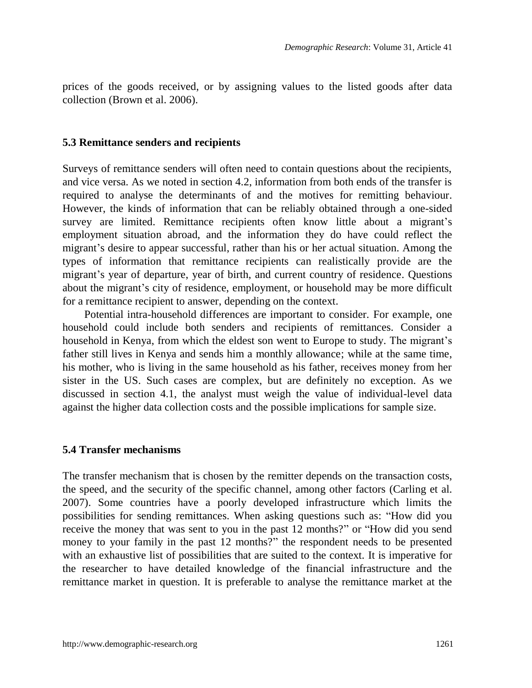prices of the goods received, or by assigning values to the listed goods after data collection (Brown et al. 2006).

#### **5.3 Remittance senders and recipients**

Surveys of remittance senders will often need to contain questions about the recipients, and vice versa. As we noted in section 4.2, information from both ends of the transfer is required to analyse the determinants of and the motives for remitting behaviour. However, the kinds of information that can be reliably obtained through a one-sided survey are limited. Remittance recipients often know little about a migrant's employment situation abroad, and the information they do have could reflect the migrant's desire to appear successful, rather than his or her actual situation. Among the types of information that remittance recipients can realistically provide are the migrant's year of departure, year of birth, and current country of residence. Questions about the migrant's city of residence, employment, or household may be more difficult for a remittance recipient to answer, depending on the context.

Potential intra-household differences are important to consider. For example, one household could include both senders and recipients of remittances. Consider a household in Kenya, from which the eldest son went to Europe to study. The migrant's father still lives in Kenya and sends him a monthly allowance; while at the same time, his mother, who is living in the same household as his father, receives money from her sister in the US. Such cases are complex, but are definitely no exception. As we discussed in section 4.1, the analyst must weigh the value of individual-level data against the higher data collection costs and the possible implications for sample size.

#### **5.4 Transfer mechanisms**

The transfer mechanism that is chosen by the remitter depends on the transaction costs, the speed, and the security of the specific channel, among other factors (Carling et al. 2007). Some countries have a poorly developed infrastructure which limits the possibilities for sending remittances. When asking questions such as: "How did you receive the money that was sent to you in the past 12 months?" or "How did you send money to your family in the past 12 months?" the respondent needs to be presented with an exhaustive list of possibilities that are suited to the context. It is imperative for the researcher to have detailed knowledge of the financial infrastructure and the remittance market in question. It is preferable to analyse the remittance market at the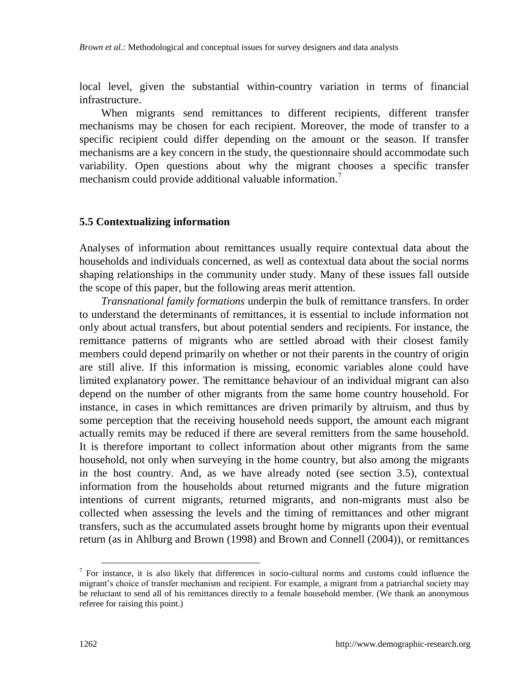local level, given the substantial within-country variation in terms of financial infrastructure.

When migrants send remittances to different recipients, different transfer mechanisms may be chosen for each recipient. Moreover, the mode of transfer to a specific recipient could differ depending on the amount or the season. If transfer mechanisms are a key concern in the study, the questionnaire should accommodate such variability. Open questions about why the migrant chooses a specific transfer mechanism could provide additional valuable information.<sup>7</sup>

#### **5.5 Contextualizing information**

Analyses of information about remittances usually require contextual data about the households and individuals concerned, as well as contextual data about the social norms shaping relationships in the community under study. Many of these issues fall outside the scope of this paper, but the following areas merit attention.

*Transnational family formations* underpin the bulk of remittance transfers. In order to understand the determinants of remittances, it is essential to include information not only about actual transfers, but about potential senders and recipients. For instance, the remittance patterns of migrants who are settled abroad with their closest family members could depend primarily on whether or not their parents in the country of origin are still alive. If this information is missing, economic variables alone could have limited explanatory power. The remittance behaviour of an individual migrant can also depend on the number of other migrants from the same home country household. For instance, in cases in which remittances are driven primarily by altruism, and thus by some perception that the receiving household needs support, the amount each migrant actually remits may be reduced if there are several remitters from the same household. It is therefore important to collect information about other migrants from the same household, not only when surveying in the home country, but also among the migrants in the host country. And, as we have already noted (see section 3.5), contextual information from the households about returned migrants and the future migration intentions of current migrants, returned migrants, and non-migrants must also be collected when assessing the levels and the timing of remittances and other migrant transfers, such as the accumulated assets brought home by migrants upon their eventual return (as in Ahlburg and Brown (1998) and Brown and Connell (2004)), or remittances

-

<sup>7</sup> For instance, it is also likely that differences in socio-cultural norms and customs could influence the migrant's choice of transfer mechanism and recipient. For example, a migrant from a patriarchal society may be reluctant to send all of his remittances directly to a female household member. (We thank an anonymous referee for raising this point.)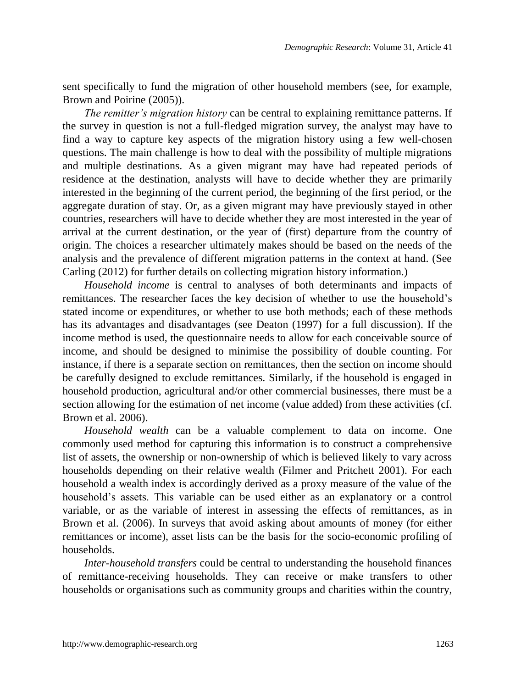sent specifically to fund the migration of other household members (see, for example, Brown and Poirine (2005)).

*The remitter's migration history* can be central to explaining remittance patterns. If the survey in question is not a full-fledged migration survey, the analyst may have to find a way to capture key aspects of the migration history using a few well-chosen questions. The main challenge is how to deal with the possibility of multiple migrations and multiple destinations. As a given migrant may have had repeated periods of residence at the destination, analysts will have to decide whether they are primarily interested in the beginning of the current period, the beginning of the first period, or the aggregate duration of stay. Or, as a given migrant may have previously stayed in other countries, researchers will have to decide whether they are most interested in the year of arrival at the current destination, or the year of (first) departure from the country of origin. The choices a researcher ultimately makes should be based on the needs of the analysis and the prevalence of different migration patterns in the context at hand. (See Carling (2012) for further details on collecting migration history information.)

*Household income* is central to analyses of both determinants and impacts of remittances. The researcher faces the key decision of whether to use the household's stated income or expenditures, or whether to use both methods; each of these methods has its advantages and disadvantages (see Deaton (1997) for a full discussion). If the income method is used, the questionnaire needs to allow for each conceivable source of income, and should be designed to minimise the possibility of double counting. For instance, if there is a separate section on remittances, then the section on income should be carefully designed to exclude remittances. Similarly, if the household is engaged in household production, agricultural and/or other commercial businesses, there must be a section allowing for the estimation of net income (value added) from these activities (cf. Brown et al. 2006).

*Household wealth* can be a valuable complement to data on income. One commonly used method for capturing this information is to construct a comprehensive list of assets, the ownership or non-ownership of which is believed likely to vary across households depending on their relative wealth (Filmer and Pritchett 2001). For each household a wealth index is accordingly derived as a proxy measure of the value of the household's assets. This variable can be used either as an explanatory or a control variable, or as the variable of interest in assessing the effects of remittances, as in Brown et al. (2006). In surveys that avoid asking about amounts of money (for either remittances or income), asset lists can be the basis for the socio-economic profiling of households.

*Inter-household transfers* could be central to understanding the household finances of remittance-receiving households. They can receive or make transfers to other households or organisations such as community groups and charities within the country,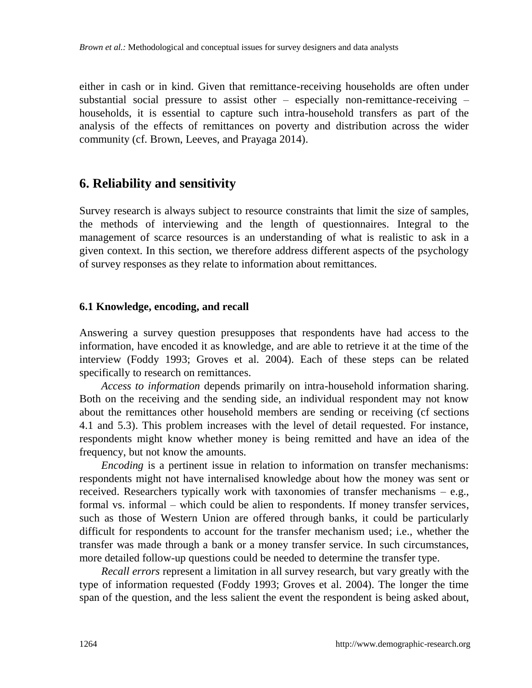either in cash or in kind. Given that remittance-receiving households are often under substantial social pressure to assist other  $-$  especially non-remittance-receiving  $$ households, it is essential to capture such intra-household transfers as part of the analysis of the effects of remittances on poverty and distribution across the wider community (cf. Brown, Leeves, and Prayaga 2014).

## **6. Reliability and sensitivity**

Survey research is always subject to resource constraints that limit the size of samples, the methods of interviewing and the length of questionnaires. Integral to the management of scarce resources is an understanding of what is realistic to ask in a given context. In this section, we therefore address different aspects of the psychology of survey responses as they relate to information about remittances.

#### **6.1 Knowledge, encoding, and recall**

Answering a survey question presupposes that respondents have had access to the information, have encoded it as knowledge, and are able to retrieve it at the time of the interview (Foddy 1993; Groves et al. 2004). Each of these steps can be related specifically to research on remittances.

*Access to information* depends primarily on intra-household information sharing. Both on the receiving and the sending side, an individual respondent may not know about the remittances other household members are sending or receiving (cf sections 4.1 and 5.3). This problem increases with the level of detail requested. For instance, respondents might know whether money is being remitted and have an idea of the frequency, but not know the amounts.

*Encoding* is a pertinent issue in relation to information on transfer mechanisms: respondents might not have internalised knowledge about how the money was sent or received. Researchers typically work with taxonomies of transfer mechanisms  $-$  e.g., formal vs. informal – which could be alien to respondents. If money transfer services, such as those of Western Union are offered through banks, it could be particularly difficult for respondents to account for the transfer mechanism used; i.e., whether the transfer was made through a bank or a money transfer service. In such circumstances, more detailed follow-up questions could be needed to determine the transfer type.

*Recall errors* represent a limitation in all survey research, but vary greatly with the type of information requested (Foddy 1993; Groves et al. 2004). The longer the time span of the question, and the less salient the event the respondent is being asked about,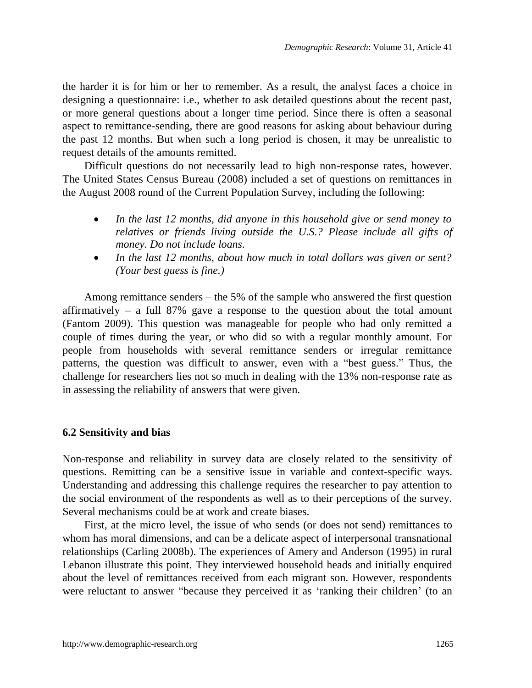the harder it is for him or her to remember. As a result, the analyst faces a choice in designing a questionnaire: i.e., whether to ask detailed questions about the recent past, or more general questions about a longer time period. Since there is often a seasonal aspect to remittance-sending, there are good reasons for asking about behaviour during the past 12 months. But when such a long period is chosen, it may be unrealistic to request details of the amounts remitted.

Difficult questions do not necessarily lead to high non-response rates, however. The United States Census Bureau (2008) included a set of questions on remittances in the August 2008 round of the Current Population Survey, including the following:

- *In the last 12 months, did anyone in this household give or send money to relatives or friends living outside the U.S.? Please include all gifts of money. Do not include loans.*
- *In the last 12 months, about how much in total dollars was given or sent? (Your best guess is fine.)*

Among remittance senders  $-$  the 5% of the sample who answered the first question affirmatively  $-$  a full 87% gave a response to the question about the total amount (Fantom 2009). This question was manageable for people who had only remitted a couple of times during the year, or who did so with a regular monthly amount. For people from households with several remittance senders or irregular remittance patterns, the question was difficult to answer, even with a "best guess." Thus, the challenge for researchers lies not so much in dealing with the 13% non-response rate as in assessing the reliability of answers that were given.

### **6.2 Sensitivity and bias**

Non-response and reliability in survey data are closely related to the sensitivity of questions. Remitting can be a sensitive issue in variable and context-specific ways. Understanding and addressing this challenge requires the researcher to pay attention to the social environment of the respondents as well as to their perceptions of the survey. Several mechanisms could be at work and create biases.

First, at the micro level, the issue of who sends (or does not send) remittances to whom has moral dimensions, and can be a delicate aspect of interpersonal transnational relationships (Carling 2008b). The experiences of Amery and Anderson (1995) in rural Lebanon illustrate this point. They interviewed household heads and initially enquired about the level of remittances received from each migrant son. However, respondents were reluctant to answer "because they perceived it as 'ranking their children' (to an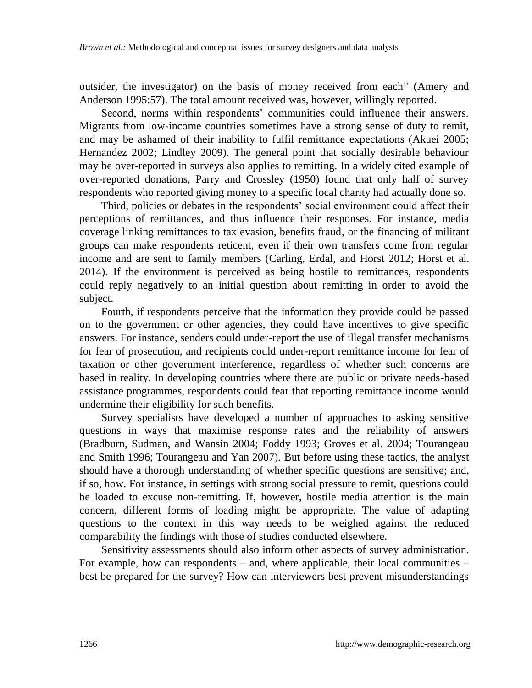outsider, the investigator) on the basis of money received from each" (Amery and Anderson 1995:57). The total amount received was, however, willingly reported.

Second, norms within respondents' communities could influence their answers. Migrants from low-income countries sometimes have a strong sense of duty to remit, and may be ashamed of their inability to fulfil remittance expectations (Akuei 2005; Hernandez 2002; Lindley 2009). The general point that socially desirable behaviour may be over-reported in surveys also applies to remitting. In a widely cited example of over-reported donations, Parry and Crossley (1950) found that only half of survey respondents who reported giving money to a specific local charity had actually done so.

Third, policies or debates in the respondents' social environment could affect their perceptions of remittances, and thus influence their responses. For instance, media coverage linking remittances to tax evasion, benefits fraud, or the financing of militant groups can make respondents reticent, even if their own transfers come from regular income and are sent to family members (Carling, Erdal, and Horst 2012; Horst et al. 2014). If the environment is perceived as being hostile to remittances, respondents could reply negatively to an initial question about remitting in order to avoid the subject.

Fourth, if respondents perceive that the information they provide could be passed on to the government or other agencies, they could have incentives to give specific answers. For instance, senders could under-report the use of illegal transfer mechanisms for fear of prosecution, and recipients could under-report remittance income for fear of taxation or other government interference, regardless of whether such concerns are based in reality. In developing countries where there are public or private needs-based assistance programmes, respondents could fear that reporting remittance income would undermine their eligibility for such benefits.

Survey specialists have developed a number of approaches to asking sensitive questions in ways that maximise response rates and the reliability of answers (Bradburn, Sudman, and Wansin 2004; Foddy 1993; Groves et al. 2004; Tourangeau and Smith 1996; Tourangeau and Yan 2007). But before using these tactics, the analyst should have a thorough understanding of whether specific questions are sensitive; and, if so, how. For instance, in settings with strong social pressure to remit, questions could be loaded to excuse non-remitting. If, however, hostile media attention is the main concern, different forms of loading might be appropriate. The value of adapting questions to the context in this way needs to be weighed against the reduced comparability the findings with those of studies conducted elsewhere.

Sensitivity assessments should also inform other aspects of survey administration. For example, how can respondents  $-$  and, where applicable, their local communities  $$ best be prepared for the survey? How can interviewers best prevent misunderstandings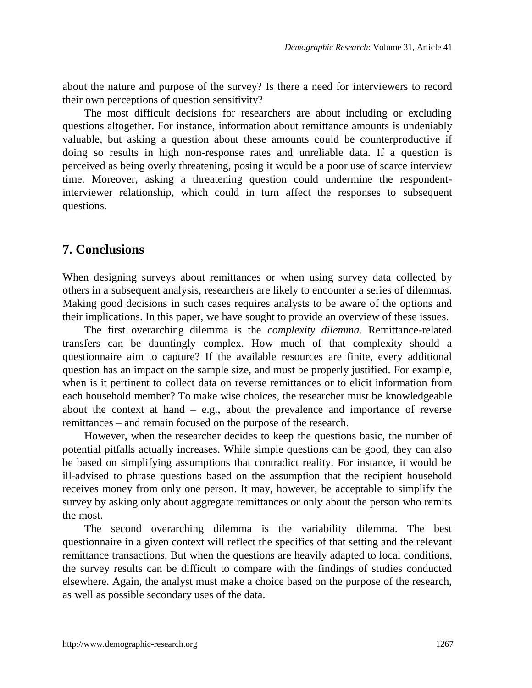about the nature and purpose of the survey? Is there a need for interviewers to record their own perceptions of question sensitivity?

The most difficult decisions for researchers are about including or excluding questions altogether. For instance, information about remittance amounts is undeniably valuable, but asking a question about these amounts could be counterproductive if doing so results in high non-response rates and unreliable data. If a question is perceived as being overly threatening, posing it would be a poor use of scarce interview time. Moreover, asking a threatening question could undermine the respondentinterviewer relationship, which could in turn affect the responses to subsequent questions.

## **7. Conclusions**

When designing surveys about remittances or when using survey data collected by others in a subsequent analysis, researchers are likely to encounter a series of dilemmas. Making good decisions in such cases requires analysts to be aware of the options and their implications. In this paper, we have sought to provide an overview of these issues.

The first overarching dilemma is the *complexity dilemma.* Remittance-related transfers can be dauntingly complex. How much of that complexity should a questionnaire aim to capture? If the available resources are finite, every additional question has an impact on the sample size, and must be properly justified. For example, when is it pertinent to collect data on reverse remittances or to elicit information from each household member? To make wise choices, the researcher must be knowledgeable about the context at hand  $-$  e.g., about the prevalence and importance of reverse remittances – and remain focused on the purpose of the research.

However, when the researcher decides to keep the questions basic, the number of potential pitfalls actually increases. While simple questions can be good, they can also be based on simplifying assumptions that contradict reality. For instance, it would be ill-advised to phrase questions based on the assumption that the recipient household receives money from only one person. It may, however, be acceptable to simplify the survey by asking only about aggregate remittances or only about the person who remits the most.

The second overarching dilemma is the variability dilemma. The best questionnaire in a given context will reflect the specifics of that setting and the relevant remittance transactions. But when the questions are heavily adapted to local conditions, the survey results can be difficult to compare with the findings of studies conducted elsewhere. Again, the analyst must make a choice based on the purpose of the research, as well as possible secondary uses of the data.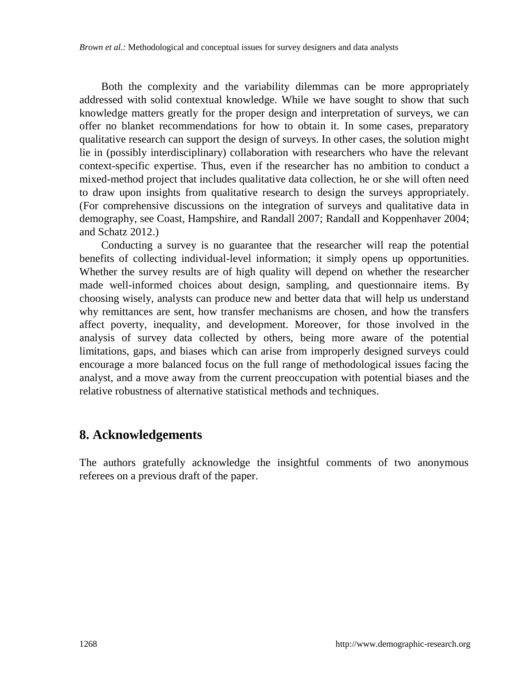Both the complexity and the variability dilemmas can be more appropriately addressed with solid contextual knowledge. While we have sought to show that such knowledge matters greatly for the proper design and interpretation of surveys, we can offer no blanket recommendations for how to obtain it. In some cases, preparatory qualitative research can support the design of surveys. In other cases, the solution might lie in (possibly interdisciplinary) collaboration with researchers who have the relevant context-specific expertise. Thus, even if the researcher has no ambition to conduct a mixed-method project that includes qualitative data collection, he or she will often need to draw upon insights from qualitative research to design the surveys appropriately. (For comprehensive discussions on the integration of surveys and qualitative data in demography, see Coast, Hampshire, and Randall 2007; Randall and Koppenhaver 2004; and Schatz 2012.)

Conducting a survey is no guarantee that the researcher will reap the potential benefits of collecting individual-level information; it simply opens up opportunities. Whether the survey results are of high quality will depend on whether the researcher made well-informed choices about design, sampling, and questionnaire items. By choosing wisely, analysts can produce new and better data that will help us understand why remittances are sent, how transfer mechanisms are chosen, and how the transfers affect poverty, inequality, and development. Moreover, for those involved in the analysis of survey data collected by others, being more aware of the potential limitations, gaps, and biases which can arise from improperly designed surveys could encourage a more balanced focus on the full range of methodological issues facing the analyst, and a move away from the current preoccupation with potential biases and the relative robustness of alternative statistical methods and techniques.

## **8. Acknowledgements**

The authors gratefully acknowledge the insightful comments of two anonymous referees on a previous draft of the paper.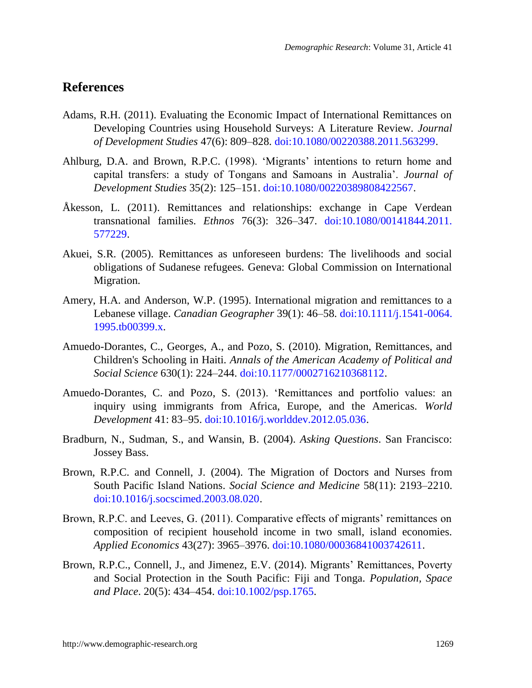## **References**

- Adams, R.H. (2011). Evaluating the Economic Impact of International Remittances on Developing Countries using Household Surveys: A Literature Review. *Journal of Development Studies* 47(6): 809–828. [doi:10.1080/00220388.2011.563299.](http://dx.doi.org/10.1080/00220388.2011.563299)
- Ahlburg, D.A. and Brown, R.P.C. (1998). 'Migrants' intentions to return home and capital transfers: a study of Tongans and Samoans in Australia'. *Journal of Development Studies* 35(2): 125–151. [doi:10.1080/00220389808422567.](http://dx.doi.org/10.1080/00220389808422567)
- Åkesson, L. (2011). Remittances and relationships: exchange in Cape Verdean transnational families. *Ethnos* 76(3): 326–347. [doi:10.1080/00141844.2011.](http://dx.doi.org/10.1080/00141844.2011.577229) [577229.](http://dx.doi.org/10.1080/00141844.2011.577229)
- Akuei, S.R. (2005). Remittances as unforeseen burdens: The livelihoods and social obligations of Sudanese refugees. Geneva: Global Commission on International Migration.
- Amery, H.A. and Anderson, W.P. (1995). International migration and remittances to a Lebanese village. *Canadian Geographer* 39(1): 46–58. [doi:10.1111/j.1541-0064.](http://dx.doi.org/10.1111/j.1541-0064.1995.tb00399.x) [1995.tb00399.x.](http://dx.doi.org/10.1111/j.1541-0064.1995.tb00399.x)
- Amuedo-Dorantes, C., Georges, A., and Pozo, S. (2010). Migration, Remittances, and Children's Schooling in Haiti. *Annals of the American Academy of Political and Social Science* 630(1): 224–244[. doi:10.1177/0002716210368112.](http://dx.doi.org/10.1177/0002716210368112)
- Amuedo-Dorantes, C. and Pozo, S. (2013). ‗Remittances and portfolio values: an inquiry using immigrants from Africa, Europe, and the Americas. *World Development* 41: 83–95. [doi:10.1016/j.worlddev.2012.05.036.](http://dx.doi.org/10.1016/j.worlddev.2012.05.036)
- Bradburn, N., Sudman, S., and Wansin, B. (2004). *Asking Questions*. San Francisco: Jossey Bass.
- Brown, R.P.C. and Connell, J. (2004). The Migration of Doctors and Nurses from South Pacific Island Nations. *Social Science and Medicine* 58(11): 2193–2210. [doi:10.1016/j.socscimed.2003.08.020.](http://dx.doi.org/10.1016/j.socscimed.2003.08.020)
- Brown, R.P.C. and Leeves, G. (2011). Comparative effects of migrants' remittances on composition of recipient household income in two small, island economies. *Applied Economics* 43(27): 3965–3976. [doi:10.1080/00036841003742611.](http://dx.doi.org/10.1080/00036841003742611)
- Brown, R.P.C., Connell, J., and Jimenez, E.V. (2014). Migrants' Remittances, Poverty and Social Protection in the South Pacific: Fiji and Tonga. *Population, Space and Place*. 20(5): 434–454. [doi:10.1002/psp.1765.](http://dx.doi.org/10.1002/psp.1765)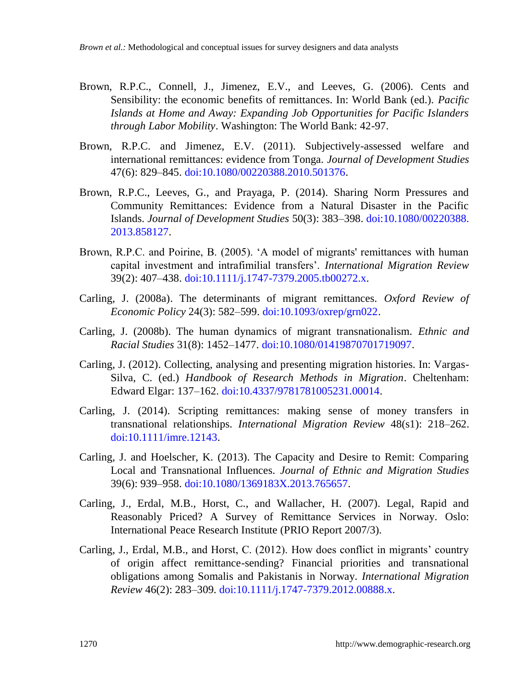- Brown, R.P.C., Connell, J., Jimenez, E.V., and Leeves, G. (2006). Cents and Sensibility: the economic benefits of remittances. In: World Bank (ed.). *Pacific Islands at Home and Away: Expanding Job Opportunities for Pacific Islanders through Labor Mobility*. Washington: The World Bank: 42-97.
- Brown, R.P.C. and Jimenez, E.V. (2011). Subjectively-assessed welfare and international remittances: evidence from Tonga. *Journal of Development Studies* 47(6): 829–845. [doi:10.1080/00220388.2010.501376.](http://dx.doi.org/10.1080/00220388.2010.501376)
- Brown, R.P.C., Leeves, G., and Prayaga, P. (2014). Sharing Norm Pressures and Community Remittances: Evidence from a Natural Disaster in the Pacific Islands. *Journal of Development Studies* 50(3): 383–398. [doi:10.1080/00220388.](http://dx.doi.org/10.1080/00220388.2013.858127) [2013.858127.](http://dx.doi.org/10.1080/00220388.2013.858127)
- Brown, R.P.C. and Poirine, B. (2005). ‗A model of migrants' remittances with human capital investment and intrafimilial transfers'. *International Migration Review* 39(2): 407–438. [doi:10.1111/j.1747-7379.2005.tb00272.x.](http://dx.doi.org/10.1111/j.1747-7379.2005.tb00272.x)
- Carling, J. (2008a). The determinants of migrant remittances. *Oxford Review of Economic Policy* 24(3): 582–599. [doi:10.1093/oxrep/grn022.](http://dx.doi.org/10.1093/oxrep/grn022)
- Carling, J. (2008b). The human dynamics of migrant transnationalism. *Ethnic and Racial Studies* 31(8): 1452–1477. [doi:10.1080/01419870701719097.](http://dx.doi.org/10.1080/01419870701719097)
- Carling, J. (2012). Collecting, analysing and presenting migration histories. In: Vargas-Silva, C. (ed.) *Handbook of Research Methods in Migration*. Cheltenham: Edward Elgar: 137–162. [doi:10.4337/9781781005231.00014.](http://dx.doi.org/10.4337/9781781005231.00014)
- Carling, J. (2014). Scripting remittances: making sense of money transfers in transnational relationships. *International Migration Review* 48(s1): 218–262. [doi:10.1111/imre.12143.](http://dx.doi.org/10.1111/imre.12143)
- Carling, J. and Hoelscher, K. (2013). The Capacity and Desire to Remit: Comparing Local and Transnational Influences. *Journal of Ethnic and Migration Studies* 39(6): 939–958. [doi:10.1080/1369183X.2013.765657.](http://dx.doi.org/10.1080/1369183X.2013.765657)
- Carling, J., Erdal, M.B., Horst, C., and Wallacher, H. (2007). Legal, Rapid and Reasonably Priced? A Survey of Remittance Services in Norway. Oslo: International Peace Research Institute (PRIO Report 2007/3).
- Carling, J., Erdal, M.B., and Horst, C. (2012). How does conflict in migrants' country of origin affect remittance-sending? Financial priorities and transnational obligations among Somalis and Pakistanis in Norway*. International Migration Review* 46(2): 283–309. [doi:10.1111/j.1747-7379.2012.00888.x.](http://dx.doi.org/10.1111/j.1747-7379.2012.00888.x)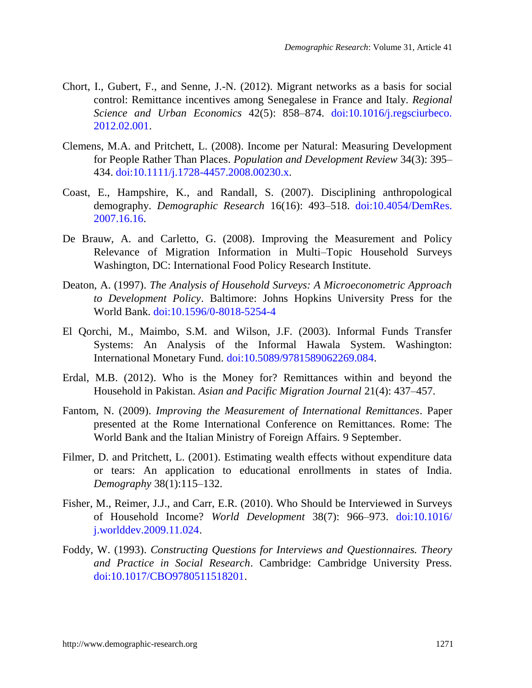- Chort, I., Gubert, F., and Senne, J.-N. (2012). Migrant networks as a basis for social control: Remittance incentives among Senegalese in France and Italy. *Regional Science and Urban Economics* 42(5): 858–874. [doi:10.1016/j.regsciurbeco.](http://dx.doi.org/10.1016/j.regsciurbeco.2012.02.001) [2012.02.001.](http://dx.doi.org/10.1016/j.regsciurbeco.2012.02.001)
- Clemens, M.A. and Pritchett, L. (2008). Income per Natural: Measuring Development for People Rather Than Places. *Population and Development Review* 34(3): 395– 434. [doi:10.1111/j.1728-4457.2008.00230.x.](http://dx.doi.org/10.1111/j.1728-4457.2008.00230.x)
- Coast, E., Hampshire, K., and Randall, S. (2007). Disciplining anthropological demography. *Demographic Research* 16(16): 493–518. [doi:10.4054/DemRes.](http://dx.doi.org/10.4054/DemRes.2007.16.16) [2007.16.16.](http://dx.doi.org/10.4054/DemRes.2007.16.16)
- De Brauw, A. and Carletto, G. (2008). Improving the Measurement and Policy Relevance of Migration Information in Multi–Topic Household Surveys Washington, DC: International Food Policy Research Institute.
- Deaton, A. (1997). *The Analysis of Household Surveys: A Microeconometric Approach to Development Policy*. Baltimore: Johns Hopkins University Press for the World Bank. [doi:10.1596/0-8018-5254-4](http://dx.doi.org/10.1596/0-8018-5254-4)
- El Qorchi, M., Maimbo, S.M. and Wilson, J.F. (2003). Informal Funds Transfer Systems: An Analysis of the Informal Hawala System. Washington: International Monetary Fund. [doi:10.5089/9781589062269.084.](http://dx.doi.org/10.5089/9781589062269.084)
- Erdal, M.B. (2012). Who is the Money for? Remittances within and beyond the Household in Pakistan. *Asian and Pacific Migration Journal* 21(4): 437–457.
- Fantom, N. (2009). *Improving the Measurement of International Remittances*. Paper presented at the Rome International Conference on Remittances. Rome: The World Bank and the Italian Ministry of Foreign Affairs. 9 September.
- Filmer, D. and Pritchett, L. (2001). Estimating wealth effects without expenditure data or tears: An application to educational enrollments in states of India. *Demography* 38(1):115–132.
- Fisher, M., Reimer, J.J., and Carr, E.R. (2010). Who Should be Interviewed in Surveys of Household Income? *World Development* 38(7): 966–973. [doi:10.1016/](http://dx.doi.org/10.1016/j.worlddev.2009.11.024) [j.worlddev.2009.11.024.](http://dx.doi.org/10.1016/j.worlddev.2009.11.024)
- Foddy, W. (1993). *Constructing Questions for Interviews and Questionnaires. Theory and Practice in Social Research*. Cambridge: Cambridge University Press. [doi:10.1017/CBO9780511518201.](http://dx.doi.org/10.1017/CBO9780511518201)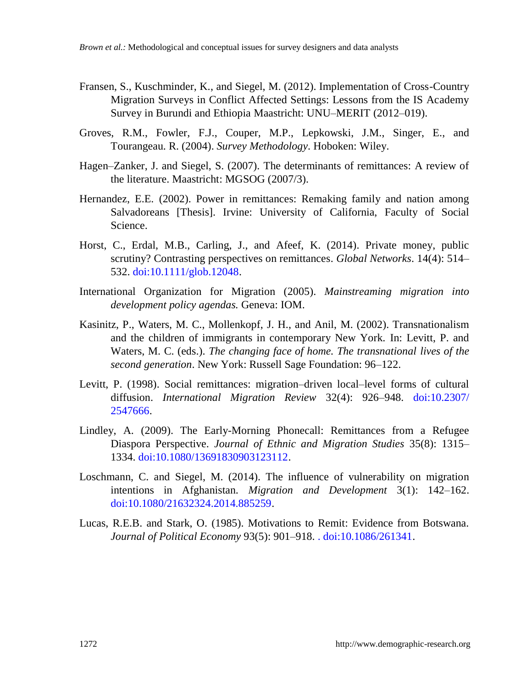- Fransen, S., Kuschminder, K., and Siegel, M. (2012). Implementation of Cross-Country Migration Surveys in Conflict Affected Settings: Lessons from the IS Academy Survey in Burundi and Ethiopia Maastricht: UNU–MERIT (2012–019).
- Groves, R.M., Fowler, F.J., Couper, M.P., Lepkowski, J.M., Singer, E., and Tourangeau. R. (2004). *Survey Methodology*. Hoboken: Wiley.
- Hagen–Zanker, J. and Siegel, S. (2007). The determinants of remittances: A review of the literature. Maastricht: MGSOG (2007/3).
- Hernandez, E.E. (2002). Power in remittances: Remaking family and nation among Salvadoreans [Thesis]. Irvine: University of California, Faculty of Social Science.
- Horst, C., Erdal, M.B., Carling, J., and Afeef, K. (2014). Private money, public scrutiny? Contrasting perspectives on remittances. *Global Networks*. 14(4): 514– 532. [doi:10.1111/glob.12048.](http://dx.doi.org/10.1111/glob.12048)
- International Organization for Migration (2005). *Mainstreaming migration into development policy agendas.* Geneva: IOM.
- Kasinitz, P., Waters, M. C., Mollenkopf, J. H., and Anil, M. (2002). Transnationalism and the children of immigrants in contemporary New York. In: Levitt, P. and Waters, M. C. (eds.). *The changing face of home. The transnational lives of the second generation*. New York: Russell Sage Foundation: 96–122.
- Levitt, P. (1998). Social remittances: migration–driven local–level forms of cultural diffusion. *International Migration Review* 32(4): 926–948. [doi:10.2307/](http://dx.doi.org/10.2307/2547666) [2547666.](http://dx.doi.org/10.2307/2547666)
- Lindley, A. (2009). The Early-Morning Phonecall: Remittances from a Refugee Diaspora Perspective. *Journal of Ethnic and Migration Studies* 35(8): 1315– 1334. [doi:10.1080/13691830903123112.](http://dx.doi.org/10.1080/13691830903123112)
- Loschmann, C. and Siegel, M. (2014). The influence of vulnerability on migration intentions in Afghanistan. *Migration and Development* 3(1): 142–162. [doi:10.1080/21632324.2014.885259.](http://dx.doi.org/10.1080/21632324.2014.885259)
- Lucas, R.E.B. and Stark, O. (1985). Motivations to Remit: Evidence from Botswana. *Journal of Political Economy* 93(5): 901–918. [.](http://dx.doi.org/10.1086/261341) [doi:10.1086/261341.](http://dx.doi.org/10.1086/261341)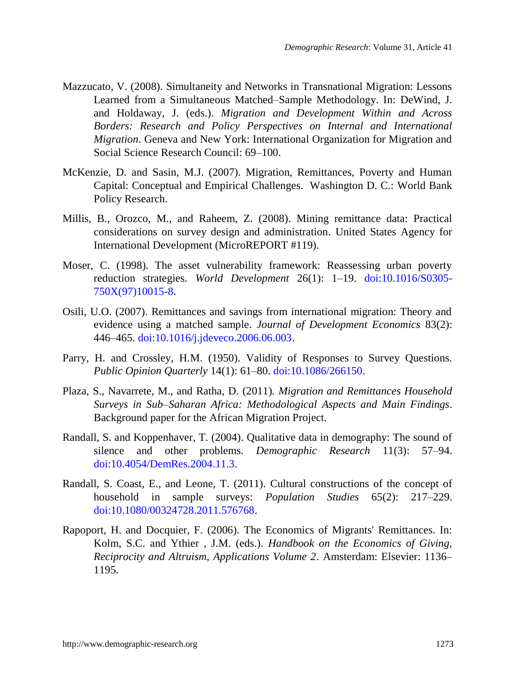- Mazzucato, V. (2008). Simultaneity and Networks in Transnational Migration: Lessons Learned from a Simultaneous Matched–Sample Methodology. In: DeWind, J. and Holdaway, J. (eds.). *Migration and Development Within and Across Borders: Research and Policy Perspectives on Internal and International Migration*. Geneva and New York: International Organization for Migration and Social Science Research Council: 69–100.
- McKenzie, D. and Sasin, M.J. (2007). Migration, Remittances, Poverty and Human Capital: Conceptual and Empirical Challenges. Washington D. C.: World Bank Policy Research.
- Millis, B., Orozco, M., and Raheem, Z. (2008). Mining remittance data: Practical considerations on survey design and administration. United States Agency for International Development (MicroREPORT #119).
- Moser, C. (1998). The asset vulnerability framework: Reassessing urban poverty reduction strategies. *World Development* 26(1): 1–19. [doi:10.1016/S0305-](http://dx.doi.org/10.1016/S0305-750X%2897%2910015-8) [750X\(97\)10015-8.](http://dx.doi.org/10.1016/S0305-750X%2897%2910015-8)
- Osili, U.O. (2007). Remittances and savings from international migration: Theory and evidence using a matched sample. *Journal of Development Economics* 83(2): 446–465. [doi:10.1016/j.jdeveco.2006.06.003.](http://dx.doi.org/10.1016/j.jdeveco.2006.06.003)
- Parry, H. and Crossley, H.M. (1950). Validity of Responses to Survey Questions. *Public Opinion Quarterly* 14(1): 61–80. [doi:10.1086/266150.](http://dx.doi.org/10.1086/266150)
- Plaza, S., Navarrete, M., and Ratha, D. (2011)*. Migration and Remittances Household Surveys in Sub–Saharan Africa: Methodological Aspects and Main Findings*. Background paper for the African Migration Project.
- Randall, S. and Koppenhaver, T. (2004). Qualitative data in demography: The sound of silence and other problems. *Demographic Research* 11(3): 57–94. [doi:10.4054/DemRes.2004.11.3.](http://dx.doi.org/10.4054/DemRes.2004.11.3)
- Randall, S. Coast, E., and Leone, T. (2011). Cultural constructions of the concept of household in sample surveys: *Population Studies* 65(2): 217–229. [doi:10.1080/00324728.2011.576768.](http://dx.doi.org/10.1080/00324728.2011.576768)
- Rapoport, H. and Docquier, F. (2006). The Economics of Migrants' Remittances. In: Kolm, S.C. and Ythier , J.M. (eds.). *Handbook on the Economics of Giving, Reciprocity and Altruism, Applications Volume 2*. Amsterdam: Elsevier: 1136– 1195.